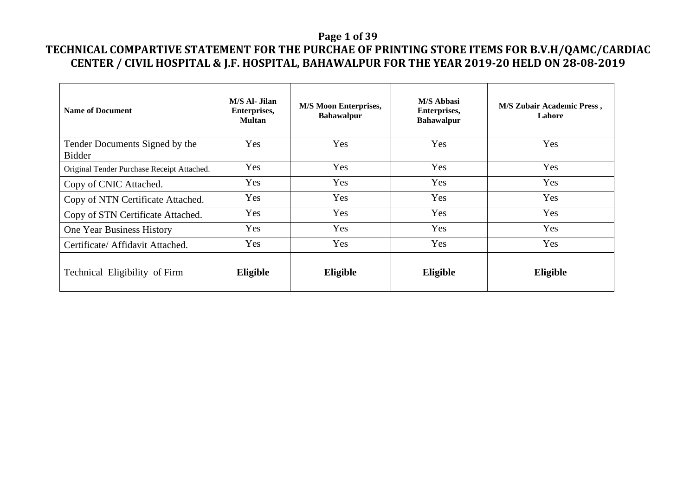### **Page 1 of 39**

| <b>Name of Document</b>                         | M/S Al- Jilan<br>Enterprises,<br><b>Multan</b> | <b>M/S Moon Enterprises,</b><br><b>Bahawalpur</b> | <b>M/S Abbasi</b><br>Enterprises,<br><b>Bahawalpur</b> | <b>M/S Zubair Academic Press,</b><br>Lahore |
|-------------------------------------------------|------------------------------------------------|---------------------------------------------------|--------------------------------------------------------|---------------------------------------------|
| Tender Documents Signed by the<br><b>Bidder</b> | Yes                                            | Yes                                               | Yes                                                    | Yes                                         |
| Original Tender Purchase Receipt Attached.      | Yes                                            | Yes                                               | Yes                                                    | Yes                                         |
| Copy of CNIC Attached.                          | Yes                                            | Yes                                               | Yes                                                    | Yes                                         |
| Copy of NTN Certificate Attached.               | Yes                                            | Yes                                               | Yes                                                    | Yes                                         |
| Copy of STN Certificate Attached.               | Yes                                            | Yes                                               | Yes                                                    | Yes                                         |
| One Year Business History                       | Yes                                            | Yes                                               | Yes                                                    | Yes                                         |
| Certificate/ Affidavit Attached.                | Yes                                            | Yes                                               | Yes                                                    | Yes                                         |
| Technical Eligibility of Firm                   | Eligible                                       | Eligible                                          | Eligible                                               | Eligible                                    |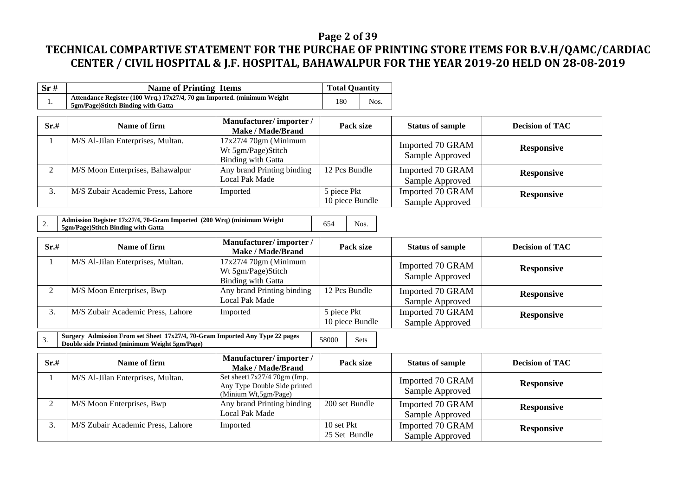### **Page 2 of 39**

# **TECHNICAL COMPARTIVE STATEMENT FOR THE PURCHAE OF PRINTING STORE ITEMS FOR B.V.H/QAMC/CARDIAC CENTER / CIVIL HOSPITAL & J.F. HOSPITAL, BAHAWALPUR FOR THE YEAR 2019-20 HELD ON 28-08-2019**

| Sr# | <b>Name of Printing Items</b>                                                                                 | <b>Total Quantity</b> |      |
|-----|---------------------------------------------------------------------------------------------------------------|-----------------------|------|
| .,  | Attendance Register (100 Wrq.) 17x27/4, 70 gm Imported. (minimum Weight<br>5gm/Page)Stitch Binding with Gatta | 180                   | Nos. |

| Sr.# | Name of firm                      | Manufacturer/importer/<br><b>Make / Made/Brand</b>                        | Pack size                      | <b>Status of sample</b>             | <b>Decision of TAC</b> |
|------|-----------------------------------|---------------------------------------------------------------------------|--------------------------------|-------------------------------------|------------------------|
|      | M/S Al-Jilan Enterprises, Multan. | $17x27/470gm$ (Minimum<br>Wt 5gm/Page)Stitch<br><b>Binding with Gatta</b> |                                | Imported 70 GRAM<br>Sample Approved | <b>Responsive</b>      |
|      | M/S Moon Enterprises, Bahawalpur  | Any brand Printing binding<br>Local Pak Made                              | 12 Pcs Bundle                  | Imported 70 GRAM<br>Sample Approved | <b>Responsive</b>      |
| ⌒    | M/S Zubair Academic Press, Lahore | Imported                                                                  | 5 piece Pkt<br>10 piece Bundle | Imported 70 GRAM<br>Sample Approved | <b>Responsive</b>      |

|--|

| Sr.# | Name of firm                      | Manufacturer/importer/<br>Make / Made/Brand                               | Pack size                      | <b>Status of sample</b>             | <b>Decision of TAC</b> |
|------|-----------------------------------|---------------------------------------------------------------------------|--------------------------------|-------------------------------------|------------------------|
|      | M/S Al-Jilan Enterprises, Multan. | $17x27/470gm$ (Minimum<br>Wt 5gm/Page)Stitch<br><b>Binding with Gatta</b> |                                | Imported 70 GRAM<br>Sample Approved | <b>Responsive</b>      |
|      | M/S Moon Enterprises, Bwp         | Any brand Printing binding<br>Local Pak Made                              | 12 Pcs Bundle                  | Imported 70 GRAM<br>Sample Approved | <b>Responsive</b>      |
|      | M/S Zubair Academic Press, Lahore | Imported                                                                  | 5 piece Pkt<br>10 piece Bundle | Imported 70 GRAM<br>Sample Approved | <b>Responsive</b>      |

3. **Surgery Admission From set Sheet 17x27/4, 70-Gram Imported Any Type 22 pages Double side Printed (minimum Weight 5gm/Page)** 58000 Sets

| Sr.# | Name of firm                      | Manufacturer/importer/<br>Make / Made/Brand                                            | Pack size                   | <b>Status of sample</b>             | <b>Decision of TAC</b> |
|------|-----------------------------------|----------------------------------------------------------------------------------------|-----------------------------|-------------------------------------|------------------------|
|      | M/S Al-Jilan Enterprises, Multan. | Set sheet $17x27/470$ gm (Imp.<br>Any Type Double Side printed<br>(Minium Wt,5gm/Page) |                             | Imported 70 GRAM<br>Sample Approved | <b>Responsive</b>      |
|      | M/S Moon Enterprises, Bwp         | Any brand Printing binding<br>Local Pak Made                                           | 200 set Bundle              | Imported 70 GRAM<br>Sample Approved | <b>Responsive</b>      |
| J.   | M/S Zubair Academic Press, Lahore | Imported                                                                               | 10 set Pkt<br>25 Set Bundle | Imported 70 GRAM<br>Sample Approved | <b>Responsive</b>      |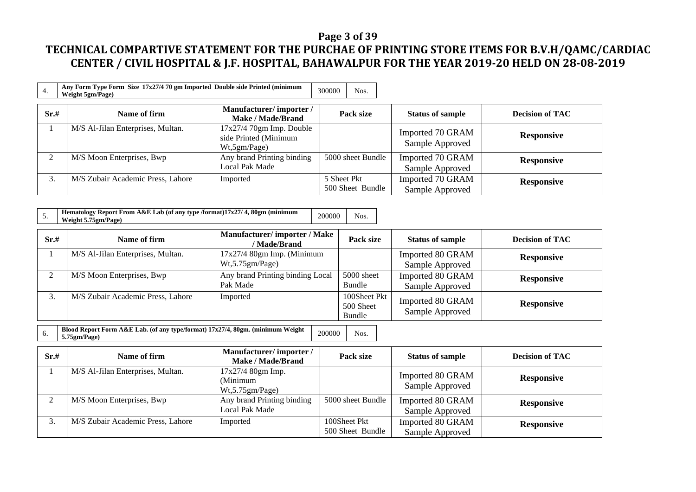### **Page 3 of 39**

# **TECHNICAL COMPARTIVE STATEMENT FOR THE PURCHAE OF PRINTING STORE ITEMS FOR B.V.H/QAMC/CARDIAC CENTER / CIVIL HOSPITAL & J.F. HOSPITAL, BAHAWALPUR FOR THE YEAR 2019-20 HELD ON 28-08-2019**

|      | Any Form Type Form Size 17x27/4 70 gm Imported Double side Printed (minimum<br><b>Weight 5gm/Page)</b> |                                                                      | 300000      | Nos.              |                                     |                        |
|------|--------------------------------------------------------------------------------------------------------|----------------------------------------------------------------------|-------------|-------------------|-------------------------------------|------------------------|
| Sr.# | Name of firm                                                                                           | Manufacturer/importer/<br>Make / Made/Brand                          |             | Pack size         | <b>Status of sample</b>             | <b>Decision of TAC</b> |
|      | M/S Al-Jilan Enterprises, Multan.                                                                      | $17x27/4$ 70gm Imp. Double<br>side Printed (Minimum<br>Wt, 5gm/Page) |             |                   | Imported 70 GRAM<br>Sample Approved | <b>Responsive</b>      |
| ◠    | M/S Moon Enterprises, Bwp                                                                              | Any brand Printing binding<br>Local Pak Made                         |             | 5000 sheet Bundle | Imported 70 GRAM<br>Sample Approved | <b>Responsive</b>      |
| 3.   | M/S Zubair Academic Press, Lahore                                                                      | Imported                                                             | 5 Sheet Pkt | 500 Sheet Bundle  | Imported 70 GRAM<br>Sample Approved | <b>Responsive</b>      |

| Hematology Report From A&E Lab (of any type /format)17x27/4, 80gm (minimum | 200000 | Nos. |
|----------------------------------------------------------------------------|--------|------|
| Weight 5.75gm/Page)                                                        |        |      |

| Sr.#         | Name of firm                      | <b>Manufacturer/importer/Make</b><br>/ Made/Brand | Pack size                           | <b>Status of sample</b>             | <b>Decision of TAC</b> |
|--------------|-----------------------------------|---------------------------------------------------|-------------------------------------|-------------------------------------|------------------------|
|              | M/S Al-Jilan Enterprises, Multan. | $17x27/4$ 80gm Imp. (Minimum<br>Wt, 5.75gm/Page)  |                                     | Imported 80 GRAM<br>Sample Approved | <b>Responsive</b>      |
| ◠            | M/S Moon Enterprises, Bwp         | Any brand Printing binding Local<br>Pak Made      | 5000 sheet<br>Bundle                | Imported 80 GRAM<br>Sample Approved | <b>Responsive</b>      |
| $\mathbf{r}$ | M/S Zubair Academic Press, Lahore | Imported                                          | 100Sheet Pkt<br>500 Sheet<br>Bundle | Imported 80 GRAM<br>Sample Approved | <b>Responsive</b>      |

6. **Blood Report Form A&E Lab. (of any type/format) 17x27/4, 80gm. (minimum Weight 5.75gm/Page)** <sup>200000</sup> Nos.

| Sr.#               | Name of firm                      | Manufacturer/importer/<br>Make / Made/Brand       | Pack size                        | <b>Status of sample</b>             | <b>Decision of TAC</b> |
|--------------------|-----------------------------------|---------------------------------------------------|----------------------------------|-------------------------------------|------------------------|
|                    | M/S Al-Jilan Enterprises, Multan. | 17x27/4 80gm Imp.<br>(Minimum<br>Wt, 5.75gm/Page) |                                  | Imported 80 GRAM<br>Sample Approved | <b>Responsive</b>      |
|                    | M/S Moon Enterprises, Bwp         | Any brand Printing binding<br>Local Pak Made      | 5000 sheet Bundle                | Imported 80 GRAM<br>Sample Approved | <b>Responsive</b>      |
| $\mathbf{z}$<br>J. | M/S Zubair Academic Press, Lahore | Imported                                          | 100Sheet Pkt<br>500 Sheet Bundle | Imported 80 GRAM<br>Sample Approved | <b>Responsive</b>      |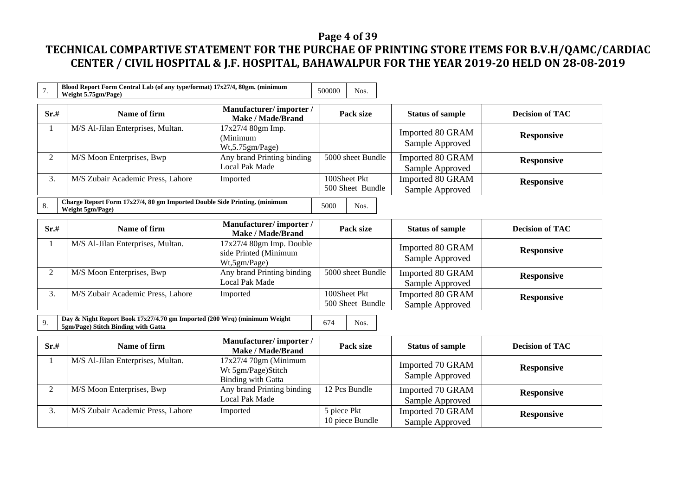### **Page 4 of 39**

| 7.             | Blood Report Form Central Lab (of any type/format) 17x27/4, 80gm. (minimum<br>Weight 5.75gm/Page)                              |                                                                          | 500000<br>Nos.                   |                                     |                        |  |  |  |
|----------------|--------------------------------------------------------------------------------------------------------------------------------|--------------------------------------------------------------------------|----------------------------------|-------------------------------------|------------------------|--|--|--|
| Sr.#           | Name of firm                                                                                                                   | Manufacturer/importer/<br><b>Make / Made/Brand</b>                       | Pack size                        | <b>Status of sample</b>             | <b>Decision of TAC</b> |  |  |  |
| 1              | M/S Al-Jilan Enterprises, Multan.                                                                                              | 17x27/4 80gm Imp.<br>(Minimum<br>Wt,5.75gm/Page)                         |                                  | Imported 80 GRAM<br>Sample Approved | <b>Responsive</b>      |  |  |  |
| $\overline{2}$ | M/S Moon Enterprises, Bwp                                                                                                      | Any brand Printing binding<br><b>Local Pak Made</b>                      | 5000 sheet Bundle                | Imported 80 GRAM<br>Sample Approved | <b>Responsive</b>      |  |  |  |
| 3.             | M/S Zubair Academic Press, Lahore                                                                                              | Imported                                                                 | 100Sheet Pkt<br>500 Sheet Bundle | Imported 80 GRAM<br>Sample Approved | <b>Responsive</b>      |  |  |  |
| 8.             | Charge Report Form 17x27/4, 80 gm Imported Double Side Printing. (minimum<br>Weight 5gm/Page)                                  |                                                                          | 5000<br>Nos.                     |                                     |                        |  |  |  |
| Sr.#           | Name of firm                                                                                                                   | Manufacturer/importer/<br><b>Make / Made/Brand</b>                       | Pack size                        | <b>Status of sample</b>             | <b>Decision of TAC</b> |  |  |  |
| 1              | M/S Al-Jilan Enterprises, Multan.                                                                                              | $17x27/4$ 80gm Imp. Double<br>side Printed (Minimum<br>Wt,5gm/Page)      |                                  | Imported 80 GRAM<br>Sample Approved | <b>Responsive</b>      |  |  |  |
| 2              | M/S Moon Enterprises, Bwp                                                                                                      | Any brand Printing binding<br><b>Local Pak Made</b>                      | 5000 sheet Bundle                | Imported 80 GRAM<br>Sample Approved | <b>Responsive</b>      |  |  |  |
| 3.             | M/S Zubair Academic Press, Lahore                                                                                              | Imported                                                                 | 100Sheet Pkt<br>500 Sheet Bundle | Imported 80 GRAM<br>Sample Approved | <b>Responsive</b>      |  |  |  |
| 9.             | Day & Night Report Book 17x27/4.70 gm Imported (200 Wrq) (minimum Weight<br>674<br>Nos.<br>5gm/Page) Stitch Binding with Gatta |                                                                          |                                  |                                     |                        |  |  |  |
| Sr.#           | Name of firm                                                                                                                   | Manufacturer/importer/<br>Make / Made/Brand                              | Pack size                        | <b>Status of sample</b>             | <b>Decision of TAC</b> |  |  |  |
| 1              | M/S Al-Jilan Enterprises, Multan.                                                                                              | 17x27/4 70gm (Minimum<br>Wt 5gm/Page)Stitch<br><b>Binding with Gatta</b> |                                  | Imported 70 GRAM<br>Sample Approved | <b>Responsive</b>      |  |  |  |
| $\overline{2}$ | M/S Moon Enterprises, Bwp                                                                                                      | Any brand Printing binding<br><b>Local Pak Made</b>                      | 12 Pcs Bundle                    | Imported 70 GRAM<br>Sample Approved | <b>Responsive</b>      |  |  |  |
| 3.             | M/S Zubair Academic Press, Lahore                                                                                              | Imported                                                                 | 5 piece Pkt<br>10 piece Bundle   | Imported 70 GRAM<br>Sample Approved | <b>Responsive</b>      |  |  |  |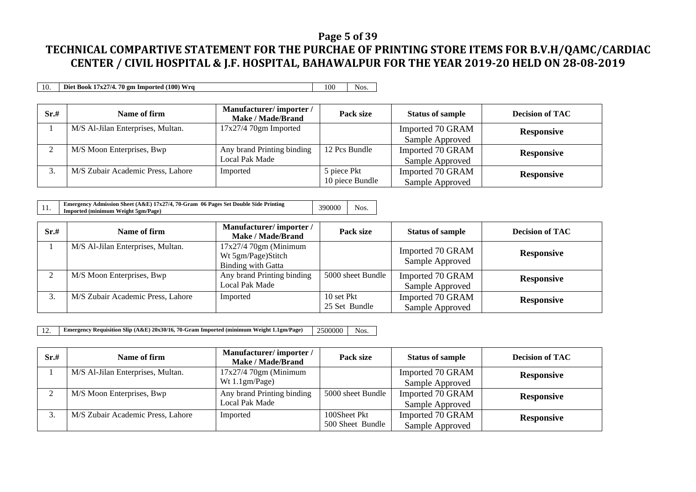#### **Page 5 of 39**

# **TECHNICAL COMPARTIVE STATEMENT FOR THE PURCHAE OF PRINTING STORE ITEMS FOR B.V.H/QAMC/CARDIAC CENTER / CIVIL HOSPITAL & J.F. HOSPITAL, BAHAWALPUR FOR THE YEAR 2019-20 HELD ON 28-08-2019**

10. **Diet Book 17x27/4. 70 gm Imported (100) Wrq** 100 Nos.

| Sr.# | Name of firm                      | Manufacturer/importer/<br>Make / Made/Brand | Pack size       | <b>Status of sample</b> | <b>Decision of TAC</b> |
|------|-----------------------------------|---------------------------------------------|-----------------|-------------------------|------------------------|
|      | M/S Al-Jilan Enterprises, Multan. | $17x27/470gm$ Imported                      |                 | Imported 70 GRAM        | <b>Responsive</b>      |
|      |                                   |                                             |                 | Sample Approved         |                        |
|      | M/S Moon Enterprises, Bwp         | Any brand Printing binding                  | 12 Pcs Bundle   | Imported 70 GRAM        | <b>Responsive</b>      |
|      |                                   | Local Pak Made                              |                 | Sample Approved         |                        |
| J.   | M/S Zubair Academic Press, Lahore | Imported                                    | 5 piece Pkt     | Imported 70 GRAM        | <b>Responsive</b>      |
|      |                                   |                                             | 10 piece Bundle | Sample Approved         |                        |

|     | Emergency Admission Sheet $(A \& E)$ 17x27/4, 70-Gram 06 Pages Set Double Side Printing | 390000 | Nos. |
|-----|-----------------------------------------------------------------------------------------|--------|------|
| 11. | Imported (minimum Weight 5gm/Page)                                                      |        |      |

| Sr.# | Name of firm                      | Manufacturer/importer/<br>Make / Made/Brand                               | Pack size                   | <b>Status of sample</b>             | <b>Decision of TAC</b> |
|------|-----------------------------------|---------------------------------------------------------------------------|-----------------------------|-------------------------------------|------------------------|
|      | M/S Al-Jilan Enterprises, Multan. | $17x27/470gm$ (Minimum<br>Wt 5gm/Page)Stitch<br><b>Binding with Gatta</b> |                             | Imported 70 GRAM<br>Sample Approved | <b>Responsive</b>      |
|      | M/S Moon Enterprises, Bwp         | Any brand Printing binding<br>Local Pak Made                              | 5000 sheet Bundle           | Imported 70 GRAM<br>Sample Approved | <b>Responsive</b>      |
|      | M/S Zubair Academic Press, Lahore | Imported                                                                  | 10 set Pkt<br>25 Set Bundle | Imported 70 GRAM<br>Sample Approved | <b>Responsive</b>      |

12. **Emergency Requisition Slip (A&E) 20x30/16, 70-Gram Imported (minimum Weight 1.1gm/Page)** 2500000 Nos.

| Sr.# | Name of firm                      | Manufacturer/importer/<br>Make / Made/Brand | Pack size         | <b>Status of sample</b> | <b>Decision of TAC</b> |
|------|-----------------------------------|---------------------------------------------|-------------------|-------------------------|------------------------|
|      | M/S Al-Jilan Enterprises, Multan. | $17x27/470gm$ (Minimum                      |                   | Imported 70 GRAM        | <b>Responsive</b>      |
|      |                                   | Wt $1.1gm/Page$ )                           |                   | Sample Approved         |                        |
| ◠    | M/S Moon Enterprises, Bwp         | Any brand Printing binding                  | 5000 sheet Bundle | Imported 70 GRAM        | <b>Responsive</b>      |
|      |                                   | Local Pak Made                              |                   | Sample Approved         |                        |
|      | M/S Zubair Academic Press, Lahore | Imported                                    | 100Sheet Pkt      | Imported 70 GRAM        | <b>Responsive</b>      |
|      |                                   |                                             | 500 Sheet Bundle  | Sample Approved         |                        |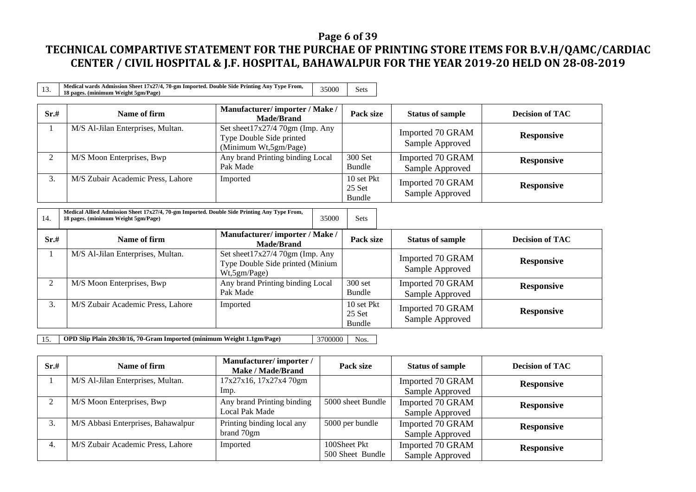### **Page 6 of 39**

| 13.                                                                                             | Medical wards Admission Sheet 17x27/4, 70-gm Imported. Double Side Printing Any Type From,<br>18 pages. (minimum Weight 5gm/Page)  | 35000                                                                                | <b>Sets</b>                    |                                     |                        |
|-------------------------------------------------------------------------------------------------|------------------------------------------------------------------------------------------------------------------------------------|--------------------------------------------------------------------------------------|--------------------------------|-------------------------------------|------------------------|
| Sr.#                                                                                            | Name of firm                                                                                                                       | Manufacturer/importer / Make /<br><b>Made/Brand</b>                                  | Pack size                      | <b>Status of sample</b>             | <b>Decision of TAC</b> |
| 1                                                                                               | M/S Al-Jilan Enterprises, Multan.                                                                                                  | Set sheet17x27/4 70gm (Imp. Any<br>Type Double Side printed<br>(Minimum Wt,5gm/Page) |                                | Imported 70 GRAM<br>Sample Approved | <b>Responsive</b>      |
| 2                                                                                               | M/S Moon Enterprises, Bwp                                                                                                          | Any brand Printing binding Local<br>Pak Made                                         | 300 Set<br>Bundle              | Imported 70 GRAM<br>Sample Approved | <b>Responsive</b>      |
| 3.                                                                                              | M/S Zubair Academic Press, Lahore                                                                                                  | Imported                                                                             | 10 set Pkt<br>25 Set<br>Bundle | Imported 70 GRAM<br>Sample Approved | <b>Responsive</b>      |
| 14.                                                                                             | Medical Allied Admission Sheet 17x27/4, 70-gm Imported. Double Side Printing Any Type From,<br>18 pages. (minimum Weight 5gm/Page) |                                                                                      |                                |                                     |                        |
| Sr.#                                                                                            | Name of firm                                                                                                                       | Manufacturer/importer / Make /<br><b>Made/Brand</b>                                  | Pack size                      | <b>Status of sample</b>             | <b>Decision of TAC</b> |
|                                                                                                 | M/S Al-Jilan Enterprises, Multan.                                                                                                  | Set sheet17x27/4 70gm (Imp. Any<br>Type Double Side printed (Minium<br>Wt,5gm/Page)  |                                | Imported 70 GRAM<br>Sample Approved | <b>Responsive</b>      |
| 2                                                                                               | M/S Moon Enterprises, Bwp                                                                                                          | Any brand Printing binding Local<br>Pak Made                                         | 300 set<br>Bundle              | Imported 70 GRAM<br>Sample Approved | <b>Responsive</b>      |
| 3.                                                                                              | M/S Zubair Academic Press, Lahore                                                                                                  | Imported                                                                             | 10 set Pkt<br>25 Set<br>Bundle | Imported 70 GRAM<br>Sample Approved | <b>Responsive</b>      |
| OPD Slip Plain 20x30/16, 70-Gram Imported (minimum Weight 1.1gm/Page)<br>3700000<br>Nos.<br>15. |                                                                                                                                    |                                                                                      |                                |                                     |                        |

| Sr.# | Name of firm                       | Manufacturer/importer/<br>Make / Made/Brand | Pack size         | <b>Status of sample</b> | <b>Decision of TAC</b> |
|------|------------------------------------|---------------------------------------------|-------------------|-------------------------|------------------------|
|      | M/S Al-Jilan Enterprises, Multan.  | 17x27x16, 17x27x4 70gm                      |                   | Imported 70 GRAM        | <b>Responsive</b>      |
|      |                                    | lmp.                                        |                   | Sample Approved         |                        |
|      | M/S Moon Enterprises, Bwp          | Any brand Printing binding                  | 5000 sheet Bundle | Imported 70 GRAM        | <b>Responsive</b>      |
|      |                                    | Local Pak Made                              |                   | Sample Approved         |                        |
|      | M/S Abbasi Enterprises, Bahawalpur | Printing binding local any                  | 5000 per bundle   | Imported 70 GRAM        | <b>Responsive</b>      |
|      |                                    | brand 70gm                                  |                   | Sample Approved         |                        |
| 4.   | M/S Zubair Academic Press, Lahore  | Imported                                    | 100Sheet Pkt      | Imported 70 GRAM        | <b>Responsive</b>      |
|      |                                    |                                             | 500 Sheet Bundle  | Sample Approved         |                        |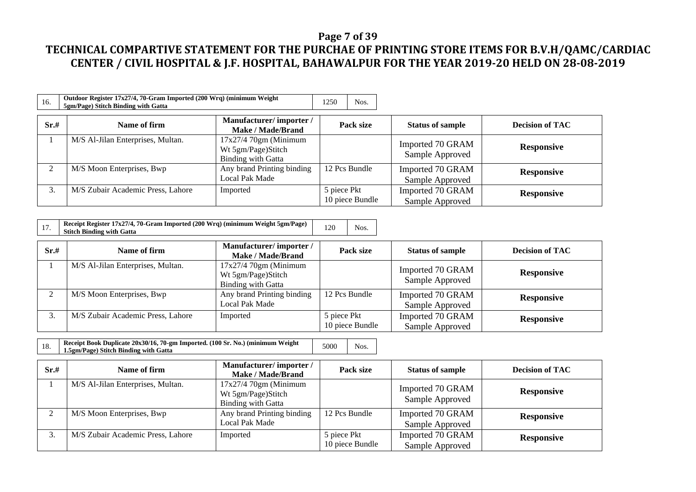### **Page 7 of 39**

| 16.  | Outdoor Register 17x27/4, 70-Gram Imported (200 Wrq) (minimum Weight<br>5gm/Page) Stitch Binding with Gatta |                                                                           | 1250<br>Nos.                   |                                     |                        |
|------|-------------------------------------------------------------------------------------------------------------|---------------------------------------------------------------------------|--------------------------------|-------------------------------------|------------------------|
| Sr.# | Name of firm                                                                                                | Manufacturer/importer/<br><b>Make / Made/Brand</b>                        | Pack size                      | <b>Status of sample</b>             | <b>Decision of TAC</b> |
|      | M/S Al-Jilan Enterprises, Multan.                                                                           | $17x27/470gm$ (Minimum<br>Wt 5gm/Page)Stitch<br><b>Binding with Gatta</b> |                                | Imported 70 GRAM<br>Sample Approved | <b>Responsive</b>      |
|      | M/S Moon Enterprises, Bwp                                                                                   | Any brand Printing binding<br>Local Pak Made                              | 12 Pcs Bundle                  | Imported 70 GRAM<br>Sample Approved | <b>Responsive</b>      |
| 3.   | M/S Zubair Academic Press, Lahore                                                                           | Imported                                                                  | 5 piece Pkt<br>10 piece Bundle | Imported 70 GRAM<br>Sample Approved | <b>Responsive</b>      |

|  | Receipt Register 17x27/4, 70-Gram Imported (200 Wrq) (minimum Weight 5gm/Page)<br><b>Stitch Binding with Gatta</b> | 120 | Nos. |
|--|--------------------------------------------------------------------------------------------------------------------|-----|------|
|--|--------------------------------------------------------------------------------------------------------------------|-----|------|

| Sr.#         | Name of firm                      | Manufacturer/importer/<br>Make / Made/Brand                        | Pack size                      | <b>Status of sample</b>             | <b>Decision of TAC</b> |
|--------------|-----------------------------------|--------------------------------------------------------------------|--------------------------------|-------------------------------------|------------------------|
|              | M/S Al-Jilan Enterprises, Multan. | $17x27/470gm$ (Minimum<br>Wt 5gm/Page)Stitch<br>Binding with Gatta |                                | Imported 70 GRAM<br>Sample Approved | <b>Responsive</b>      |
| $\sim$       | M/S Moon Enterprises, Bwp         | Any brand Printing binding<br>Local Pak Made                       | 12 Pcs Bundle                  | Imported 70 GRAM<br>Sample Approved | <b>Responsive</b>      |
| $\mathbf{r}$ | M/S Zubair Academic Press, Lahore | Imported                                                           | 5 piece Pkt<br>10 piece Bundle | Imported 70 GRAM<br>Sample Approved | <b>Responsive</b>      |

| 18. | Receipt Book Duplicate 20x30/16, 70-gm Imported. (100 Sr. No.) (minimum Weight<br>1.5gm/Page) Stitch Binding with Gatta | 5000 | Nos. |
|-----|-------------------------------------------------------------------------------------------------------------------------|------|------|
|     |                                                                                                                         |      |      |

| Sr.# | Name of firm                      | Manufacturer/importer/<br>Make / Made/Brand                        | Pack size                      | <b>Status of sample</b>             | <b>Decision of TAC</b> |
|------|-----------------------------------|--------------------------------------------------------------------|--------------------------------|-------------------------------------|------------------------|
|      | M/S Al-Jilan Enterprises, Multan. | $17x27/470gm$ (Minimum<br>Wt 5gm/Page)Stitch<br>Binding with Gatta |                                | Imported 70 GRAM<br>Sample Approved | <b>Responsive</b>      |
|      | M/S Moon Enterprises, Bwp         | Any brand Printing binding<br>Local Pak Made                       | 12 Pcs Bundle                  | Imported 70 GRAM<br>Sample Approved | <b>Responsive</b>      |
|      | M/S Zubair Academic Press, Lahore | Imported                                                           | 5 piece Pkt<br>10 piece Bundle | Imported 70 GRAM<br>Sample Approved | <b>Responsive</b>      |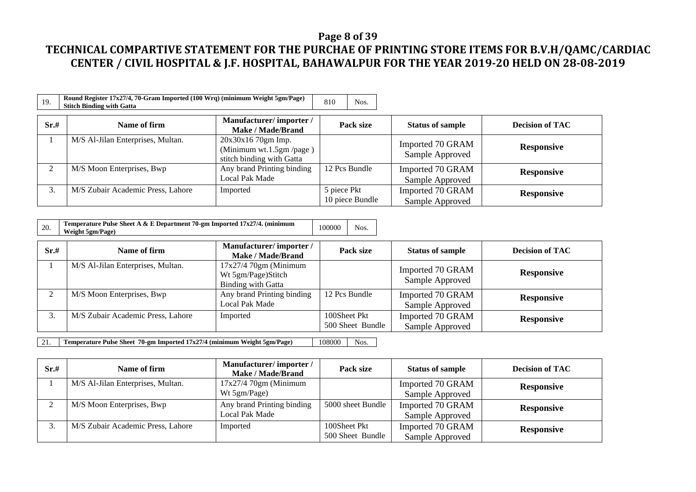### **Page 8 of 39**

# **TECHNICAL COMPARTIVE STATEMENT FOR THE PURCHAE OF PRINTING STORE ITEMS FOR B.V.H/QAMC/CARDIAC CENTER / CIVIL HOSPITAL & J.F. HOSPITAL, BAHAWALPUR FOR THE YEAR 2019-20 HELD ON 28-08-2019**

| 19.  | Round Register 17x27/4, 70-Gram Imported (100 Wrq) (minimum Weight 5gm/Page)<br><b>Stitch Binding with Gatta</b> |                                                                             | 810<br>Nos.                    |                                     |                        |
|------|------------------------------------------------------------------------------------------------------------------|-----------------------------------------------------------------------------|--------------------------------|-------------------------------------|------------------------|
| Sr.# | Name of firm                                                                                                     | Manufacturer/importer/<br><b>Make / Made/Brand</b>                          | Pack size                      | <b>Status of sample</b>             | <b>Decision of TAC</b> |
|      | M/S Al-Jilan Enterprises, Multan.                                                                                | $20x30x1670gm$ Imp.<br>(Minimum wt.1.5gm/page)<br>stitch binding with Gatta |                                | Imported 70 GRAM<br>Sample Approved | <b>Responsive</b>      |
|      | M/S Moon Enterprises, Bwp                                                                                        | Any brand Printing binding<br>Local Pak Made                                | 12 Pcs Bundle                  | Imported 70 GRAM<br>Sample Approved | <b>Responsive</b>      |
| 3.   | M/S Zubair Academic Press, Lahore                                                                                | Imported                                                                    | 5 piece Pkt<br>10 piece Bundle | Imported 70 GRAM<br>Sample Approved | <b>Responsive</b>      |

| 20. | Temperature Pulse Sheet A & E Department 70-gm Imported 17x27/4. (minimum | 100000 | Nos. |
|-----|---------------------------------------------------------------------------|--------|------|
|     | Weight 5gm/Page)                                                          |        |      |

| Sr.#         | Name of firm                      | Manufacturer/importer/<br>Make / Made/Brand                               | Pack size                        | <b>Status of sample</b>             | <b>Decision of TAC</b> |
|--------------|-----------------------------------|---------------------------------------------------------------------------|----------------------------------|-------------------------------------|------------------------|
|              | M/S Al-Jilan Enterprises, Multan. | $17x27/470gm$ (Minimum<br>Wt 5gm/Page)Stitch<br><b>Binding with Gatta</b> |                                  | Imported 70 GRAM<br>Sample Approved | <b>Responsive</b>      |
| ◠            | M/S Moon Enterprises, Bwp         | Any brand Printing binding<br>Local Pak Made                              | 12 Pcs Bundle                    | Imported 70 GRAM<br>Sample Approved | <b>Responsive</b>      |
| $\mathbf{r}$ | M/S Zubair Academic Press, Lahore | Imported                                                                  | 100Sheet Pkt<br>500 Sheet Bundle | Imported 70 GRAM<br>Sample Approved | <b>Responsive</b>      |

21. **Temperature Pulse Sheet 70-gm Imported 17x27/4 (minimum Weight 5gm/Page)** 108000 Nos.

| Sr.# | Name of firm                      | Manufacturer/importer/<br>Make / Made/Brand | Pack size         | <b>Status of sample</b> | <b>Decision of TAC</b> |  |
|------|-----------------------------------|---------------------------------------------|-------------------|-------------------------|------------------------|--|
|      | M/S Al-Jilan Enterprises, Multan. | $17x27/470gm$ (Minimum                      |                   | Imported 70 GRAM        | <b>Responsive</b>      |  |
|      |                                   | Wt 5gm/Page)                                |                   | Sample Approved         |                        |  |
|      | M/S Moon Enterprises, Bwp         | Any brand Printing binding                  | 5000 sheet Bundle | Imported 70 GRAM        | <b>Responsive</b>      |  |
|      |                                   | Local Pak Made                              |                   | Sample Approved         |                        |  |
|      | M/S Zubair Academic Press, Lahore | Imported                                    | 100Sheet Pkt      | Imported 70 GRAM        | <b>Responsive</b>      |  |
|      |                                   |                                             | 500 Sheet Bundle  | Sample Approved         |                        |  |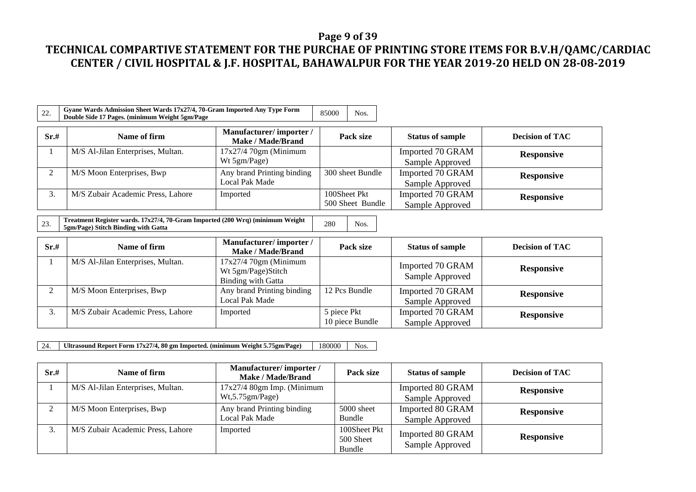#### **Page 9 of 39**

# **TECHNICAL COMPARTIVE STATEMENT FOR THE PURCHAE OF PRINTING STORE ITEMS FOR B.V.H/QAMC/CARDIAC CENTER / CIVIL HOSPITAL & J.F. HOSPITAL, BAHAWALPUR FOR THE YEAR 2019-20 HELD ON 28-08-2019**

| 22.  | Gyane Wards Admission Sheet Wards 17x27/4, 70-Gram Imported Any Type Form<br>Double Side 17 Pages. (minimum Weight 5gm/Page |                                                    | 85000 | Nos.                             |                                     |                        |
|------|-----------------------------------------------------------------------------------------------------------------------------|----------------------------------------------------|-------|----------------------------------|-------------------------------------|------------------------|
| Sr.# | Name of firm                                                                                                                | Manufacturer/importer/<br><b>Make / Made/Brand</b> |       | Pack size                        | <b>Status of sample</b>             | <b>Decision of TAC</b> |
|      | M/S Al-Jilan Enterprises, Multan.                                                                                           | $17x27/470gm$ (Minimum<br>Wt 5gm/Page)             |       |                                  | Imported 70 GRAM<br>Sample Approved | <b>Responsive</b>      |
|      | M/S Moon Enterprises, Bwp                                                                                                   | Any brand Printing binding<br>Local Pak Made       |       | 300 sheet Bundle                 | Imported 70 GRAM<br>Sample Approved | <b>Responsive</b>      |
| 3.   | M/S Zubair Academic Press, Lahore                                                                                           | Imported                                           |       | 100Sheet Pkt<br>500 Sheet Bundle | Imported 70 GRAM<br>Sample Approved | <b>Responsive</b>      |

23. **Treatment Register wards. 17x27/4, 70-Gram Imported (200 Wrq) (minimum Weight Freatment Register wards.** 1782/74, 70-Gram imported (200 Wrq) (minimum Weight 280 Nos.<br> **5gm/Page)** Stitch Binding with Gatta

| Sr.# | Name of firm                      | Manufacturer/importer/<br><b>Make / Made/Brand</b>                        | Pack size                      | <b>Status of sample</b>             | <b>Decision of TAC</b> |
|------|-----------------------------------|---------------------------------------------------------------------------|--------------------------------|-------------------------------------|------------------------|
|      | M/S Al-Jilan Enterprises, Multan. | $17x27/470gm$ (Minimum<br>Wt 5gm/Page)Stitch<br><b>Binding with Gatta</b> |                                | Imported 70 GRAM<br>Sample Approved | <b>Responsive</b>      |
| ◠    | M/S Moon Enterprises, Bwp         | Any brand Printing binding<br>Local Pak Made                              | 12 Pcs Bundle                  | Imported 70 GRAM<br>Sample Approved | <b>Responsive</b>      |
| J.   | M/S Zubair Academic Press, Lahore | Imported                                                                  | 5 piece Pkt<br>10 piece Bundle | Imported 70 GRAM<br>Sample Approved | <b>Responsive</b>      |

24. **Ultrasound Report Form 17x27/4, 80 gm Imported. (minimum Weight 5.75gm/Page)** 180000 Nos.

| Sr.# | Name of firm                      | Manufacturer/importer/<br>Make / Made/Brand     | Pack size                           | <b>Status of sample</b>             | <b>Decision of TAC</b> |
|------|-----------------------------------|-------------------------------------------------|-------------------------------------|-------------------------------------|------------------------|
|      | M/S Al-Jilan Enterprises, Multan. | $17x27/4$ 80gm Imp. (Minimum<br>Wt,5.75gm/Page) |                                     | Imported 80 GRAM<br>Sample Approved | <b>Responsive</b>      |
|      | M/S Moon Enterprises, Bwp         | Any brand Printing binding<br>Local Pak Made    | 5000 sheet<br>Bundle                | Imported 80 GRAM<br>Sample Approved | <b>Responsive</b>      |
|      | M/S Zubair Academic Press, Lahore | Imported                                        | 100Sheet Pkt<br>500 Sheet<br>Bundle | Imported 80 GRAM<br>Sample Approved | <b>Responsive</b>      |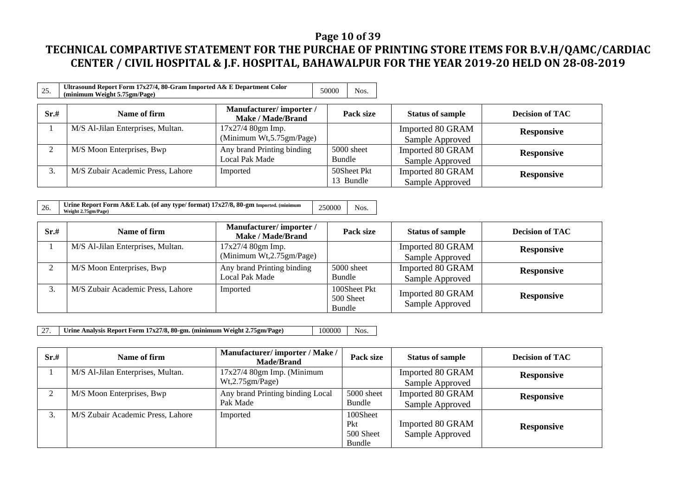### **Page 10 of 39**

# **TECHNICAL COMPARTIVE STATEMENT FOR THE PURCHAE OF PRINTING STORE ITEMS FOR B.V.H/QAMC/CARDIAC CENTER / CIVIL HOSPITAL & J.F. HOSPITAL, BAHAWALPUR FOR THE YEAR 2019-20 HELD ON 28-08-2019**

| 25.  | Ultrasound Report Form 17x27/4, 80-Gram Imported A& E Department Color<br>(minimum Weight 5.75gm/Page) |                                                    | 50000  | Nos.                     |                                     |                        |
|------|--------------------------------------------------------------------------------------------------------|----------------------------------------------------|--------|--------------------------|-------------------------------------|------------------------|
| Sr.# | Name of firm                                                                                           | Manufacturer/importer/<br><b>Make / Made/Brand</b> |        | Pack size                | <b>Status of sample</b>             | <b>Decision of TAC</b> |
|      | M/S Al-Jilan Enterprises, Multan.                                                                      | 17x27/4 80gm Imp.<br>(Minimum Wt, 5.75gm/Page)     |        |                          | Imported 80 GRAM<br>Sample Approved | <b>Responsive</b>      |
| ◠    | M/S Moon Enterprises, Bwp                                                                              | Any brand Printing binding<br>Local Pak Made       | Bundle | 5000 sheet               | Imported 80 GRAM<br>Sample Approved | <b>Responsive</b>      |
| 3.   | M/S Zubair Academic Press, Lahore                                                                      | Imported                                           |        | 50Sheet Pkt<br>13 Bundle | Imported 80 GRAM<br>Sample Approved | <b>Responsive</b>      |

| 26. | Urine Report Form $A\&E$ Lab. (of any type/format) $17x27/8$ , 80-gm Imported. (minimum<br>Weight 2.75gm/Page) | 250000 | Nos. |
|-----|----------------------------------------------------------------------------------------------------------------|--------|------|
|-----|----------------------------------------------------------------------------------------------------------------|--------|------|

| Sr.# | Name of firm                      | Manufacturer/importer/<br>Make / Made/Brand   | Pack size                           | <b>Status of sample</b>             | <b>Decision of TAC</b> |
|------|-----------------------------------|-----------------------------------------------|-------------------------------------|-------------------------------------|------------------------|
|      | M/S Al-Jilan Enterprises, Multan. | 17x27/4 80gm Imp.<br>(Minimum Wt,2.75gm/Page) |                                     | Imported 80 GRAM<br>Sample Approved | <b>Responsive</b>      |
|      | M/S Moon Enterprises, Bwp         | Any brand Printing binding<br>Local Pak Made  | 5000 sheet<br>Bundle                | Imported 80 GRAM<br>Sample Approved | <b>Responsive</b>      |
| 3.   | M/S Zubair Academic Press, Lahore | Imported                                      | 100Sheet Pkt<br>500 Sheet<br>Bundle | Imported 80 GRAM<br>Sample Approved | <b>Responsive</b>      |

27. **Urine Analysis Report Form 17x27/8, 80-gm. (minimum Weight 2.75gm/Page)** 100000 Nos.

| Sr.#     | Name of firm                      | Manufacturer/importer / Make /<br><b>Made/Brand</b> | Pack size                              | <b>Status of sample</b>             | <b>Decision of TAC</b> |
|----------|-----------------------------------|-----------------------------------------------------|----------------------------------------|-------------------------------------|------------------------|
|          | M/S Al-Jilan Enterprises, Multan. | $17x27/4$ 80gm Imp. (Minimum<br>Wt, 2.75gm/Page)    |                                        | Imported 80 GRAM<br>Sample Approved | <b>Responsive</b>      |
| $\gamma$ | M/S Moon Enterprises, Bwp         | Any brand Printing binding Local<br>Pak Made        | 5000 sheet<br>Bundle                   | Imported 80 GRAM<br>Sample Approved | <b>Responsive</b>      |
| 3.       | M/S Zubair Academic Press, Lahore | Imported                                            | 100Sheet<br>Pkt<br>500 Sheet<br>Bundle | Imported 80 GRAM<br>Sample Approved | <b>Responsive</b>      |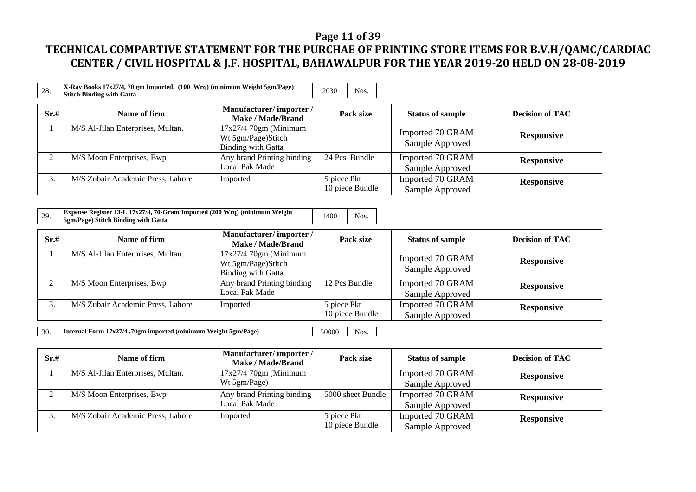### **Page 11 of 39**

# **TECHNICAL COMPARTIVE STATEMENT FOR THE PURCHAE OF PRINTING STORE ITEMS FOR B.V.H/QAMC/CARDIAC CENTER / CIVIL HOSPITAL & J.F. HOSPITAL, BAHAWALPUR FOR THE YEAR 2019-20 HELD ON 28-08-2019**

| 28.      | X-Ray Books 17x27/4, 70 gm Imported. (100 Wrq) (minimum Weight 5gm/Page)<br><b>Stitch Binding with Gatta</b> |                                                                    |             | Nos.            |                                     |                        |
|----------|--------------------------------------------------------------------------------------------------------------|--------------------------------------------------------------------|-------------|-----------------|-------------------------------------|------------------------|
| Sr.#     | Name of firm                                                                                                 | Manufacturer/importer/<br><b>Make / Made/Brand</b>                 |             | Pack size       | <b>Status of sample</b>             | <b>Decision of TAC</b> |
|          | M/S Al-Jilan Enterprises, Multan.                                                                            | $17x27/470gm$ (Minimum<br>Wt 5gm/Page)Stitch<br>Binding with Gatta |             |                 | Imported 70 GRAM<br>Sample Approved | <b>Responsive</b>      |
| $\gamma$ | M/S Moon Enterprises, Bwp                                                                                    | Any brand Printing binding<br>Local Pak Made                       |             | 24 Pcs Bundle   | Imported 70 GRAM<br>Sample Approved | <b>Responsive</b>      |
| 3.       | M/S Zubair Academic Press, Lahore                                                                            | Imported                                                           | 5 piece Pkt | 10 piece Bundle | Imported 70 GRAM<br>Sample Approved | <b>Responsive</b>      |

| 29. | <b>Expense Register 13-L 17x27/4, 70-Gram Imported (200 Wrq) (minimum Weight</b> | 1400 | Nos. |
|-----|----------------------------------------------------------------------------------|------|------|
|     | 5gm/Page) Stitch Binding with Gatta                                              |      |      |

| Sr.#         | Name of firm                      | Manufacturer/importer/<br>Make / Made/Brand                               | Pack size                      | <b>Status of sample</b>             | <b>Decision of TAC</b> |
|--------------|-----------------------------------|---------------------------------------------------------------------------|--------------------------------|-------------------------------------|------------------------|
|              | M/S Al-Jilan Enterprises, Multan. | $17x27/470gm$ (Minimum<br>Wt 5gm/Page)Stitch<br><b>Binding with Gatta</b> |                                | Imported 70 GRAM<br>Sample Approved | <b>Responsive</b>      |
| ◠            | M/S Moon Enterprises, Bwp         | Any brand Printing binding<br>Local Pak Made                              | 12 Pcs Bundle                  | Imported 70 GRAM<br>Sample Approved | <b>Responsive</b>      |
| $\mathbf{r}$ | M/S Zubair Academic Press, Lahore | Imported                                                                  | 5 piece Pkt<br>10 piece Bundle | Imported 70 GRAM<br>Sample Approved | <b>Responsive</b>      |

30. **Internal Form 17x27/4 ,70gm imported (minimum Weight 5gm/Page)** 50000 Nos.

| Sr.# | Name of firm                      | Manufacturer/importer/<br>Make / Made/Brand | Pack size         | <b>Status of sample</b> | <b>Decision of TAC</b> |
|------|-----------------------------------|---------------------------------------------|-------------------|-------------------------|------------------------|
|      | M/S Al-Jilan Enterprises, Multan. | $17x27/470gm$ (Minimum                      |                   | Imported 70 GRAM        | <b>Responsive</b>      |
|      |                                   | Wt 5gm/Page)                                |                   | Sample Approved         |                        |
|      | M/S Moon Enterprises, Bwp         | Any brand Printing binding                  | 5000 sheet Bundle | Imported 70 GRAM        | <b>Responsive</b>      |
|      |                                   | Local Pak Made                              |                   | Sample Approved         |                        |
|      | M/S Zubair Academic Press, Lahore | Imported                                    | 5 piece Pkt       | Imported 70 GRAM        | <b>Responsive</b>      |
|      |                                   |                                             | 10 piece Bundle   | Sample Approved         |                        |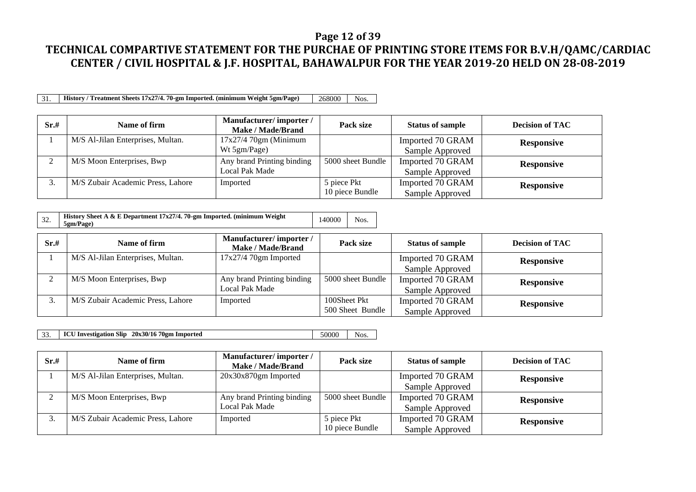#### **Page 12 of 39**

# **TECHNICAL COMPARTIVE STATEMENT FOR THE PURCHAE OF PRINTING STORE ITEMS FOR B.V.H/QAMC/CARDIAC CENTER / CIVIL HOSPITAL & J.F. HOSPITAL, BAHAWALPUR FOR THE YEAR 2019-20 HELD ON 28-08-2019**

31. **History / Treatment Sheets 17x27/4. 70-gm Imported. (minimum Weight 5gm/Page)** 268000 Nos.

| Sr.# | Name of firm                      | Manufacturer/importer/<br><b>Make / Made/Brand</b> | Pack size         | <b>Status of sample</b> | <b>Decision of TAC</b> |
|------|-----------------------------------|----------------------------------------------------|-------------------|-------------------------|------------------------|
|      | M/S Al-Jilan Enterprises, Multan. | $17x27/470gm$ (Minimum                             |                   | Imported 70 GRAM        | <b>Responsive</b>      |
|      |                                   | Wt 5gm/Page)                                       |                   | Sample Approved         |                        |
| ⌒    | M/S Moon Enterprises, Bwp         | Any brand Printing binding                         | 5000 sheet Bundle | Imported 70 GRAM        | <b>Responsive</b>      |
|      |                                   | Local Pak Made                                     |                   | Sample Approved         |                        |
|      | M/S Zubair Academic Press, Lahore | Imported                                           | 5 piece Pkt       | Imported 70 GRAM        | <b>Responsive</b>      |
|      |                                   |                                                    | 10 piece Bundle   | Sample Approved         |                        |

| Sr.# | Name of firm                      | Manufacturer/importer/<br>Make / Made/Brand | Pack size         | <b>Status of sample</b> | <b>Decision of TAC</b> |
|------|-----------------------------------|---------------------------------------------|-------------------|-------------------------|------------------------|
|      | M/S Al-Jilan Enterprises, Multan. | $17x27/4$ 70gm Imported                     |                   | Imported 70 GRAM        | <b>Responsive</b>      |
|      |                                   |                                             |                   | Sample Approved         |                        |
|      | M/S Moon Enterprises, Bwp         | Any brand Printing binding                  | 5000 sheet Bundle | Imported 70 GRAM        | <b>Responsive</b>      |
|      |                                   | Local Pak Made                              |                   | Sample Approved         |                        |
|      | M/S Zubair Academic Press, Lahore | Imported                                    | 100Sheet Pkt      | Imported 70 GRAM        | <b>Responsive</b>      |
|      |                                   |                                             | 500 Sheet Bundle  | Sample Approved         |                        |

<sup>33.</sup> **ICU Investigation Slip 20x30/16 70gm Imported** 50000 Nos.

| Sr.# | Name of firm                      | Manufacturer/importer/<br>Make / Made/Brand | Pack size         | <b>Status of sample</b> | <b>Decision of TAC</b> |
|------|-----------------------------------|---------------------------------------------|-------------------|-------------------------|------------------------|
|      | M/S Al-Jilan Enterprises, Multan. | $20x30x870gm$ Imported                      |                   | Imported 70 GRAM        | <b>Responsive</b>      |
|      |                                   |                                             |                   | Sample Approved         |                        |
|      | M/S Moon Enterprises, Bwp         | Any brand Printing binding                  | 5000 sheet Bundle | Imported 70 GRAM        | <b>Responsive</b>      |
|      |                                   | Local Pak Made                              |                   | Sample Approved         |                        |
|      | M/S Zubair Academic Press, Lahore | Imported                                    | 5 piece Pkt       | Imported 70 GRAM        | <b>Responsive</b>      |
|      |                                   |                                             | 10 piece Bundle   | Sample Approved         |                        |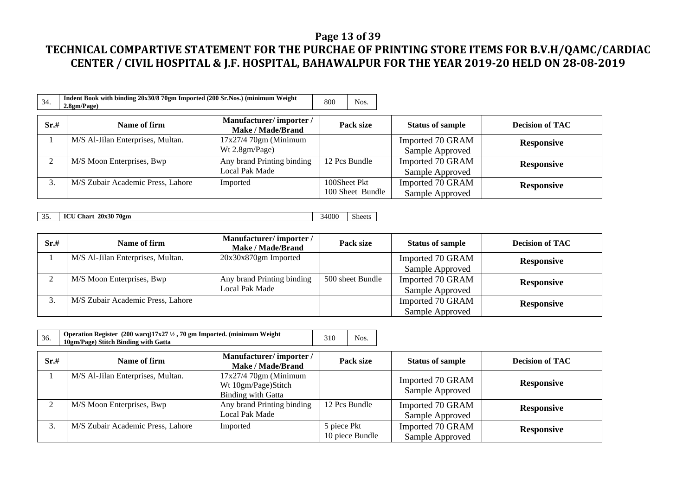### **Page 13 of 39**

| 34.  | Indent Book with binding 20x30/8 70gm Imported (200 Sr.Nos.) (minimum Weight<br>2.8gm/Page) |                                              | 800<br>Nos.                      |                                     |                        |
|------|---------------------------------------------------------------------------------------------|----------------------------------------------|----------------------------------|-------------------------------------|------------------------|
| Sr.# | Name of firm                                                                                | Manufacturer/importer/<br>Make / Made/Brand  | Pack size                        | <b>Status of sample</b>             | <b>Decision of TAC</b> |
|      | M/S Al-Jilan Enterprises, Multan.                                                           | $17x27/470$ gm (Minimum<br>Wt 2.8gm/Page)    |                                  | Imported 70 GRAM<br>Sample Approved | <b>Responsive</b>      |
| ↑    | M/S Moon Enterprises, Bwp                                                                   | Any brand Printing binding<br>Local Pak Made | 12 Pcs Bundle                    | Imported 70 GRAM<br>Sample Approved | <b>Responsive</b>      |
| 3.   | M/S Zubair Academic Press, Lahore                                                           | Imported                                     | 100Sheet Pkt<br>100 Sheet Bundle | Imported 70 GRAM<br>Sample Approved | <b>Responsive</b>      |

| 25<br>JJ. | 20x30 70gm<br>TAT<br><b>Chart</b><br>IUU | 34000<br>ຼ | $\sim$<br>Sheets |
|-----------|------------------------------------------|------------|------------------|

| Sr.# | Name of firm                      | Manufacturer/importer/<br>Make / Made/Brand | Pack size        | <b>Status of sample</b> | <b>Decision of TAC</b> |
|------|-----------------------------------|---------------------------------------------|------------------|-------------------------|------------------------|
|      | M/S Al-Jilan Enterprises, Multan. | $20x30x870gm$ Imported                      |                  | Imported 70 GRAM        | <b>Responsive</b>      |
|      |                                   |                                             |                  | Sample Approved         |                        |
|      | M/S Moon Enterprises, Bwp         | Any brand Printing binding                  | 500 sheet Bundle | Imported 70 GRAM        | <b>Responsive</b>      |
|      |                                   | Local Pak Made                              |                  | Sample Approved         |                        |
|      | M/S Zubair Academic Press, Lahore |                                             |                  | Imported 70 GRAM        | <b>Responsive</b>      |
|      |                                   |                                             |                  | Sample Approved         |                        |

| 36.  | Operation Register (200 warq)17x27 1/2, 70 gm Imported. (minimum Weight<br>10gm/Page) Stitch Binding with Gatta |                                                                            | 310         | Nos.            |                                     |                        |
|------|-----------------------------------------------------------------------------------------------------------------|----------------------------------------------------------------------------|-------------|-----------------|-------------------------------------|------------------------|
| Sr.# | Name of firm                                                                                                    | Manufacturer/importer/<br><b>Make / Made/Brand</b>                         |             | Pack size       | <b>Status of sample</b>             | <b>Decision of TAC</b> |
|      | M/S Al-Jilan Enterprises, Multan.                                                                               | $17x27/470gm$ (Minimum<br>Wt 10gm/Page)Stitch<br><b>Binding with Gatta</b> |             |                 | Imported 70 GRAM<br>Sample Approved | <b>Responsive</b>      |
| ◠    | M/S Moon Enterprises, Bwp                                                                                       | Any brand Printing binding<br>Local Pak Made                               |             | 12 Pcs Bundle   | Imported 70 GRAM<br>Sample Approved | <b>Responsive</b>      |
| 3.   | M/S Zubair Academic Press, Lahore                                                                               | Imported                                                                   | 5 piece Pkt | 10 piece Bundle | Imported 70 GRAM<br>Sample Approved | <b>Responsive</b>      |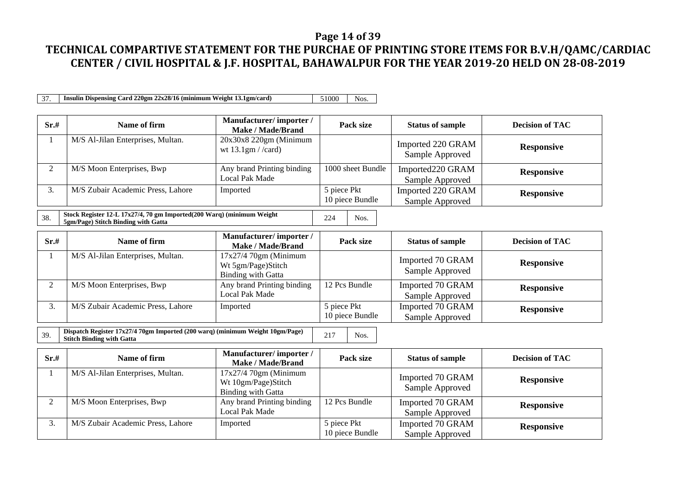#### **Page 14 of 39**

# **TECHNICAL COMPARTIVE STATEMENT FOR THE PURCHAE OF PRINTING STORE ITEMS FOR B.V.H/QAMC/CARDIAC CENTER / CIVIL HOSPITAL & J.F. HOSPITAL, BAHAWALPUR FOR THE YEAR 2019-20 HELD ON 28-08-2019**

37. **Insulin Dispensing Card 220gm 22x28/16 (minimum Weight 13.1gm/card)** 51000 Nos.

| Sr.# | Name of firm                      | Manufacturer/importer/<br>Make / Made/Brand      | Pack size                      | <b>Status of sample</b>              | <b>Decision of TAC</b> |
|------|-----------------------------------|--------------------------------------------------|--------------------------------|--------------------------------------|------------------------|
|      | M/S Al-Jilan Enterprises, Multan. | $20x30x8220gm$ (Minimum<br>wt $13.1gm / /card$ ) |                                | Imported 220 GRAM<br>Sample Approved | <b>Responsive</b>      |
|      | M/S Moon Enterprises, Bwp         | Any brand Printing binding<br>Local Pak Made     | 1000 sheet Bundle              | Imported220 GRAM<br>Sample Approved  | <b>Responsive</b>      |
|      | M/S Zubair Academic Press, Lahore | Imported                                         | 5 piece Pkt<br>10 piece Bundle | Imported 220 GRAM<br>Sample Approved | <b>Responsive</b>      |

38. **Stock Register 12-L 17x27/4, 70 gm Imported(200 Warq) (minimum Weight 5gm/Page) Stitch Binding with Gatta** 200 Wardy (infinition weight 224 Nos.

| Sr.# | Name of firm                      | Manufacturer/importer/<br>Make / Made/Brand                                | Pack size                      | <b>Status of sample</b>             | <b>Decision of TAC</b> |
|------|-----------------------------------|----------------------------------------------------------------------------|--------------------------------|-------------------------------------|------------------------|
|      | M/S Al-Jilan Enterprises, Multan. | $17x27/470$ gm (Minimum<br>Wt 5gm/Page)Stitch<br><b>Binding with Gatta</b> |                                | Imported 70 GRAM<br>Sample Approved | <b>Responsive</b>      |
|      | M/S Moon Enterprises, Bwp         | Any brand Printing binding<br><b>Local Pak Made</b>                        | 12 Pcs Bundle                  | Imported 70 GRAM<br>Sample Approved | <b>Responsive</b>      |
|      | M/S Zubair Academic Press, Lahore | Imported                                                                   | 5 piece Pkt<br>10 piece Bundle | Imported 70 GRAM<br>Sample Approved | <b>Responsive</b>      |

39. **Dispatch Register 17x27/4 70gm Imported (200 warq) (minimum Weight 10gm/Page) Stitch Binding with Gatta** <sup>217</sup> Nos.

| Sr.#         | Name of firm                      | Manufacturer/importer/<br>Make / Made/Brand                         | Pack size                      | <b>Status of sample</b>             | <b>Decision of TAC</b> |
|--------------|-----------------------------------|---------------------------------------------------------------------|--------------------------------|-------------------------------------|------------------------|
|              | M/S Al-Jilan Enterprises, Multan. | $17x27/470gm$ (Minimum<br>Wt 10gm/Page)Stitch<br>Binding with Gatta |                                | Imported 70 GRAM<br>Sample Approved | <b>Responsive</b>      |
| ◠            | M/S Moon Enterprises, Bwp         | Any brand Printing binding<br>Local Pak Made                        | 12 Pcs Bundle                  | Imported 70 GRAM<br>Sample Approved | <b>Responsive</b>      |
| $\mathbf{r}$ | M/S Zubair Academic Press, Lahore | Imported                                                            | 5 piece Pkt<br>10 piece Bundle | Imported 70 GRAM<br>Sample Approved | <b>Responsive</b>      |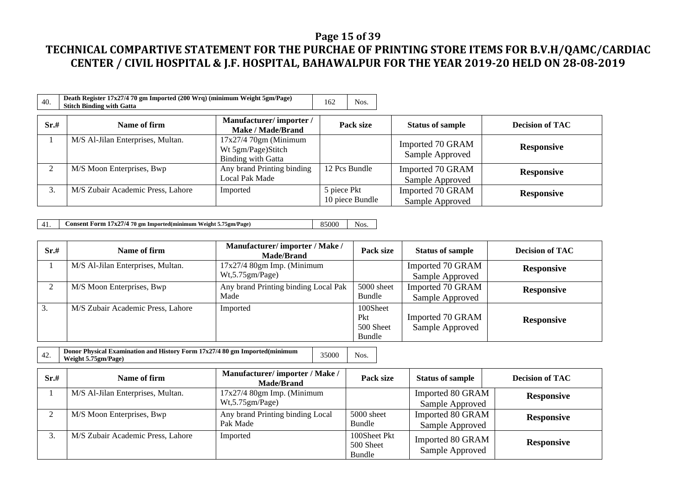### **Page 15 of 39**

## **TECHNICAL COMPARTIVE STATEMENT FOR THE PURCHAE OF PRINTING STORE ITEMS FOR B.V.H/QAMC/CARDIAC CENTER / CIVIL HOSPITAL & J.F. HOSPITAL, BAHAWALPUR FOR THE YEAR 2019-20 HELD ON 28-08-2019**

| 40.  | Death Register 17x27/4 70 gm Imported (200 Wrq) (minimum Weight 5gm/Page)<br><b>Stitch Binding with Gatta</b> | 162<br>Nos.                                                               |                                |                                     |                        |
|------|---------------------------------------------------------------------------------------------------------------|---------------------------------------------------------------------------|--------------------------------|-------------------------------------|------------------------|
| Sr.# | Name of firm                                                                                                  | Manufacturer/importer/<br><b>Make / Made/Brand</b>                        | Pack size                      | <b>Status of sample</b>             | <b>Decision of TAC</b> |
|      | M/S Al-Jilan Enterprises, Multan.                                                                             | $17x27/470gm$ (Minimum<br>Wt 5gm/Page)Stitch<br><b>Binding with Gatta</b> |                                | Imported 70 GRAM<br>Sample Approved | <b>Responsive</b>      |
|      | M/S Moon Enterprises, Bwp                                                                                     | Any brand Printing binding<br>Local Pak Made                              | 12 Pcs Bundle                  | Imported 70 GRAM<br>Sample Approved | <b>Responsive</b>      |
|      | M/S Zubair Academic Press, Lahore                                                                             | Imported                                                                  | 5 piece Pkt<br>10 piece Bundle | Imported 70 GRAM<br>Sample Approved | <b>Responsive</b>      |

41. **Consent Form 17x27/4 70 gm Imported(minimum Weight 5.75gm/Page)** 85000 Nos.

| Sr.# | Name of firm                      | Manufacturer/importer / Make /<br><b>Made/Brand</b> | Pack size                              | <b>Status of sample</b>             | <b>Decision of TAC</b> |
|------|-----------------------------------|-----------------------------------------------------|----------------------------------------|-------------------------------------|------------------------|
|      | M/S Al-Jilan Enterprises, Multan. | $17x27/4$ 80gm Imp. (Minimum<br>Wt, 5.75gm/Page)    |                                        | Imported 70 GRAM<br>Sample Approved | <b>Responsive</b>      |
|      | M/S Moon Enterprises, Bwp         | Any brand Printing binding Local Pak<br>Made        | 5000 sheet<br>Bundle                   | Imported 70 GRAM<br>Sample Approved | <b>Responsive</b>      |
| 3.   | M/S Zubair Academic Press, Lahore | Imported                                            | 100Sheet<br>Pkt<br>500 Sheet<br>Bundle | Imported 70 GRAM<br>Sample Approved | <b>Responsive</b>      |

| Weight 5.75gm/Page) |
|---------------------|
|---------------------|

| Sr.# | Name of firm                      | Manufacturer/importer/Make/<br><b>Made/Brand</b> | Pack size                           | <b>Status of sample</b>             | <b>Decision of TAC</b> |
|------|-----------------------------------|--------------------------------------------------|-------------------------------------|-------------------------------------|------------------------|
|      | M/S Al-Jilan Enterprises, Multan. | $17x27/4$ 80gm Imp. (Minimum<br>Wt, 5.75gm/Page) |                                     | Imported 80 GRAM<br>Sample Approved | <b>Responsive</b>      |
|      | M/S Moon Enterprises, Bwp         | Any brand Printing binding Local<br>Pak Made     | 5000 sheet<br>Bundle                | Imported 80 GRAM<br>Sample Approved | <b>Responsive</b>      |
|      | M/S Zubair Academic Press, Lahore | Imported                                         | 100Sheet Pkt<br>500 Sheet<br>Bundle | Imported 80 GRAM<br>Sample Approved | <b>Responsive</b>      |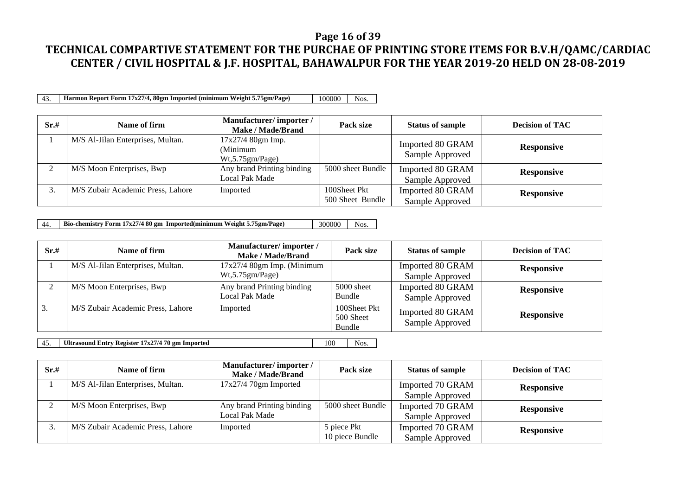#### **Page 16 of 39**

# **TECHNICAL COMPARTIVE STATEMENT FOR THE PURCHAE OF PRINTING STORE ITEMS FOR B.V.H/QAMC/CARDIAC CENTER / CIVIL HOSPITAL & J.F. HOSPITAL, BAHAWALPUR FOR THE YEAR 2019-20 HELD ON 28-08-2019**

43. **Harmon Report Form 17x27/4, 80gm Imported (minimum Weight 5.75gm/Page)** 100000 Nos.

| Sr.# | Name of firm                      | Manufacturer/importer/<br>Make / Made/Brand        | Pack size                        | <b>Status of sample</b>             | <b>Decision of TAC</b> |
|------|-----------------------------------|----------------------------------------------------|----------------------------------|-------------------------------------|------------------------|
|      | M/S Al-Jilan Enterprises, Multan. | $17x27/480gm$ Imp.<br>(Minimum<br>Wt, 5.75gm/Page) |                                  | Imported 80 GRAM<br>Sample Approved | <b>Responsive</b>      |
|      | M/S Moon Enterprises, Bwp         | Any brand Printing binding<br>Local Pak Made       | 5000 sheet Bundle                | Imported 80 GRAM<br>Sample Approved | <b>Responsive</b>      |
|      | M/S Zubair Academic Press, Lahore | Imported                                           | 100Sheet Pkt<br>500 Sheet Bundle | Imported 80 GRAM<br>Sample Approved | <b>Responsive</b>      |

44. **Bio-chemistry Form 17x27/4 80 gm Imported(minimum Weight 5.75gm/Page)** 300000 Nos.

| Sr.# | Name of firm                      | Manufacturer/importer/<br>Make / Made/Brand      | Pack size                           | <b>Status of sample</b>             | <b>Decision of TAC</b> |
|------|-----------------------------------|--------------------------------------------------|-------------------------------------|-------------------------------------|------------------------|
|      | M/S Al-Jilan Enterprises, Multan. | $17x27/4$ 80gm Imp. (Minimum<br>Wt, 5.75gm/Page) |                                     | Imported 80 GRAM<br>Sample Approved | <b>Responsive</b>      |
|      | M/S Moon Enterprises, Bwp         | Any brand Printing binding<br>Local Pak Made     | 5000 sheet<br>Bundle                | Imported 80 GRAM<br>Sample Approved | <b>Responsive</b>      |
| 3.   | M/S Zubair Academic Press, Lahore | Imported                                         | 100Sheet Pkt<br>500 Sheet<br>Bundle | Imported 80 GRAM<br>Sample Approved | <b>Responsive</b>      |

45. **Ultrasound Entry Register 17x27/4 70 gm Imported** 100 Nos.

| Sr.# | Name of firm                      | Manufacturer/importer/<br><b>Make / Made/Brand</b> | Pack size         | <b>Status of sample</b> | <b>Decision of TAC</b> |
|------|-----------------------------------|----------------------------------------------------|-------------------|-------------------------|------------------------|
|      | M/S Al-Jilan Enterprises, Multan. | $17x27/470gm$ Imported                             |                   | Imported 70 GRAM        | <b>Responsive</b>      |
|      |                                   |                                                    |                   | Sample Approved         |                        |
|      | M/S Moon Enterprises, Bwp         | Any brand Printing binding                         | 5000 sheet Bundle | Imported 70 GRAM        | <b>Responsive</b>      |
|      |                                   | Local Pak Made                                     |                   | Sample Approved         |                        |
|      | M/S Zubair Academic Press, Lahore | Imported                                           | 5 piece Pkt       | Imported 70 GRAM        | <b>Responsive</b>      |
|      |                                   |                                                    | 10 piece Bundle   | Sample Approved         |                        |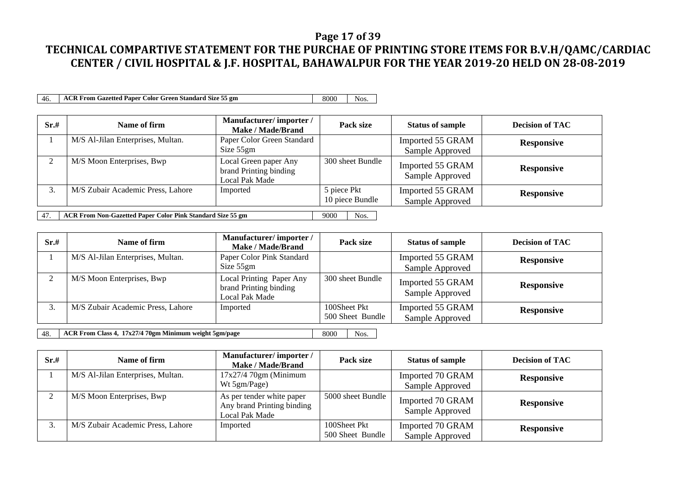#### **Page 17 of 39**

# **TECHNICAL COMPARTIVE STATEMENT FOR THE PURCHAE OF PRINTING STORE ITEMS FOR B.V.H/QAMC/CARDIAC CENTER / CIVIL HOSPITAL & J.F. HOSPITAL, BAHAWALPUR FOR THE YEAR 2019-20 HELD ON 28-08-2019**

46. **ACR From Gazetted Paper Color Green Standard Size 55 gm** 8000 Nos.

| Sr.#      | Name of firm                                                               | Manufacturer/importer/<br>Make / Made/Brand                       | Pack size                      | <b>Status of sample</b>             | <b>Decision of TAC</b> |  |  |  |
|-----------|----------------------------------------------------------------------------|-------------------------------------------------------------------|--------------------------------|-------------------------------------|------------------------|--|--|--|
|           | M/S Al-Jilan Enterprises, Multan.                                          | Paper Color Green Standard<br>Size $55gm$                         |                                | Imported 55 GRAM<br>Sample Approved | <b>Responsive</b>      |  |  |  |
| $\bigcap$ | M/S Moon Enterprises, Bwp                                                  | Local Green paper Any<br>brand Printing binding<br>Local Pak Made | 300 sheet Bundle               | Imported 55 GRAM<br>Sample Approved | <b>Responsive</b>      |  |  |  |
| 3.        | M/S Zubair Academic Press, Lahore                                          | Imported                                                          | 5 piece Pkt<br>10 piece Bundle | Imported 55 GRAM<br>Sample Approved | <b>Responsive</b>      |  |  |  |
| 47.       | ACR From Non-Gazetted Paper Color Pink Standard Size 55 gm<br>9000<br>Nos. |                                                                   |                                |                                     |                        |  |  |  |

**Sr.# Name of firm Manufacturer/ importer / Manufacturer/ importer / Mahmacurer/ Importer/**<br> **Pack size Status of sample Decision of TAC**<br>
Paper Color Pink Standard **Pack Status of Status of Status of Status of Standard <b>P**egnesive 1 M/S Al-Jilan Enterprises, Multan. Imported 55 GRAM

|                                   | Size 55gm                                                            |                                  | Sample Approved                     |                   |
|-----------------------------------|----------------------------------------------------------------------|----------------------------------|-------------------------------------|-------------------|
| M/S Moon Enterprises, Bwp         | Local Printing Paper Any<br>brand Printing binding<br>Local Pak Made | 300 sheet Bundle                 | Imported 55 GRAM<br>Sample Approved | <b>Responsive</b> |
| M/S Zubair Academic Press, Lahore | Imported                                                             | 100Sheet Pkt<br>500 Sheet Bundle | Imported 55 GRAM<br>Sample Approved | <b>Responsive</b> |

**Responsive**

48. **ACR From Class 4, 17x27/4 70gm Minimum weight 5gm/page** 8000 8000 Nos.

| Sr.# | Name of firm                      | Manufacturer/importer/<br>Make / Made/Brand                               | Pack size                        | <b>Status of sample</b>             | <b>Decision of TAC</b> |
|------|-----------------------------------|---------------------------------------------------------------------------|----------------------------------|-------------------------------------|------------------------|
|      | M/S Al-Jilan Enterprises, Multan. | $17x27/470gm$ (Minimum<br>Wt 5gm/Page)                                    |                                  | Imported 70 GRAM<br>Sample Approved | <b>Responsive</b>      |
|      | M/S Moon Enterprises, Bwp         | As per tender white paper<br>Any brand Printing binding<br>Local Pak Made | 5000 sheet Bundle                | Imported 70 GRAM<br>Sample Approved | <b>Responsive</b>      |
|      | M/S Zubair Academic Press, Lahore | Imported                                                                  | 100Sheet Pkt<br>500 Sheet Bundle | Imported 70 GRAM<br>Sample Approved | <b>Responsive</b>      |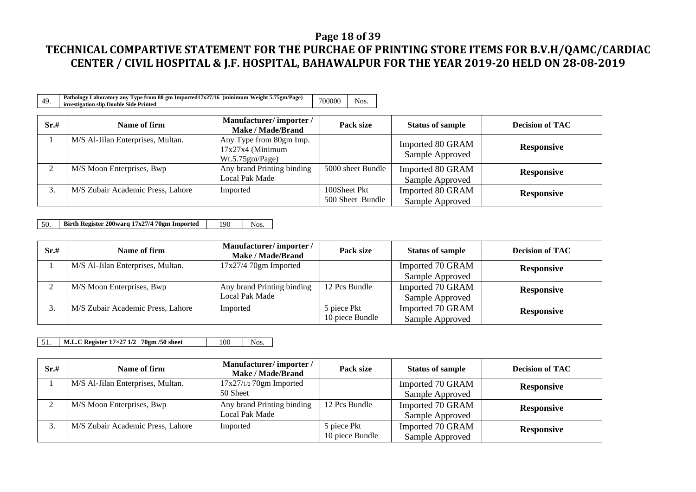### **Page 18 of 39**

# **TECHNICAL COMPARTIVE STATEMENT FOR THE PURCHAE OF PRINTING STORE ITEMS FOR B.V.H/QAMC/CARDIAC CENTER / CIVIL HOSPITAL & J.F. HOSPITAL, BAHAWALPUR FOR THE YEAR 2019-20 HELD ON 28-08-2019**

| ΔQ | Pathology Laboratory any Type from 80 gm Imported17x27/16 (minimum Weight 5.75gm/Page)<br>investigation slip Double Side Printed | 700000 | NOS. |  |
|----|----------------------------------------------------------------------------------------------------------------------------------|--------|------|--|
|----|----------------------------------------------------------------------------------------------------------------------------------|--------|------|--|

| Sr.# | Name of firm                      | Manufacturer/importer/<br><b>Make / Made/Brand</b>               | Pack size                        | <b>Status of sample</b>             | <b>Decision of TAC</b> |
|------|-----------------------------------|------------------------------------------------------------------|----------------------------------|-------------------------------------|------------------------|
|      | M/S Al-Jilan Enterprises, Multan. | Any Type from 80gm Imp.<br>$17x27x4$ (Minimum<br>Wt.5.75gm/Page) |                                  | Imported 80 GRAM<br>Sample Approved | <b>Responsive</b>      |
|      | M/S Moon Enterprises, Bwp         | Any brand Printing binding<br>Local Pak Made                     | 5000 sheet Bundle                | Imported 80 GRAM<br>Sample Approved | <b>Responsive</b>      |
|      | M/S Zubair Academic Press, Lahore | Imported                                                         | 100Sheet Pkt<br>500 Sheet Bundle | Imported 80 GRAM<br>Sample Approved | <b>Responsive</b>      |

50. **Birth Register 200warq 17x27/4 70gm Imported** 190 Nos.

| Sr.# | Name of firm                      | Manufacturer/importer/<br>Make / Made/Brand | Pack size       | <b>Status of sample</b> | <b>Decision of TAC</b> |
|------|-----------------------------------|---------------------------------------------|-----------------|-------------------------|------------------------|
|      | M/S Al-Jilan Enterprises, Multan. | $17x27/470gm$ Imported                      |                 | Imported 70 GRAM        | <b>Responsive</b>      |
|      |                                   |                                             |                 | Sample Approved         |                        |
|      | M/S Moon Enterprises, Bwp         | Any brand Printing binding                  | 12 Pcs Bundle   | Imported 70 GRAM        | <b>Responsive</b>      |
|      |                                   | Local Pak Made                              |                 | Sample Approved         |                        |
|      | M/S Zubair Academic Press, Lahore | Imported                                    | 5 piece Pkt     | Imported 70 GRAM        | <b>Responsive</b>      |
|      |                                   |                                             | 10 piece Bundle | Sample Approved         |                        |

51. **M.L.C Register 17×27 1/2 70gm /50 sheet** 100 Nos.

| Sr.# | Name of firm                      | Manufacturer/importer/<br>Make / Made/Brand | Pack size       | <b>Status of sample</b> | <b>Decision of TAC</b> |
|------|-----------------------------------|---------------------------------------------|-----------------|-------------------------|------------------------|
|      | M/S Al-Jilan Enterprises, Multan. | $17x27/1/270gm$ Imported                    |                 | Imported 70 GRAM        | <b>Responsive</b>      |
|      |                                   | 50 Sheet                                    |                 | Sample Approved         |                        |
|      | M/S Moon Enterprises, Bwp         | Any brand Printing binding                  | 12 Pcs Bundle   | Imported 70 GRAM        | <b>Responsive</b>      |
|      |                                   | Local Pak Made                              |                 | Sample Approved         |                        |
|      | M/S Zubair Academic Press, Lahore | Imported                                    | 5 piece Pkt     | Imported 70 GRAM        | <b>Responsive</b>      |
|      |                                   |                                             | 10 piece Bundle | Sample Approved         |                        |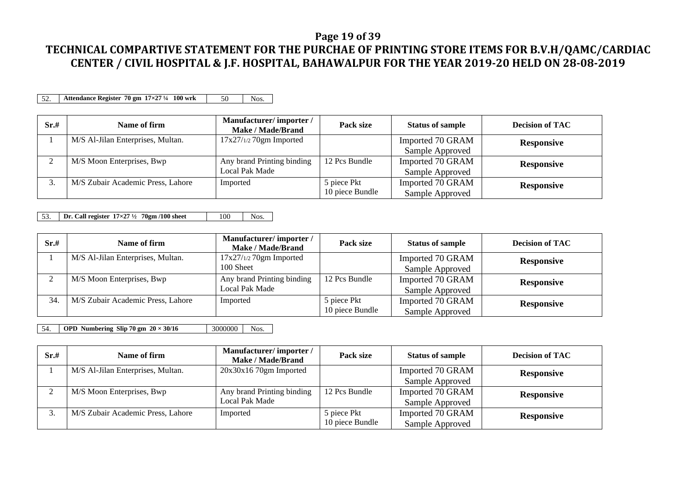#### **Page 19 of 39**

## **TECHNICAL COMPARTIVE STATEMENT FOR THE PURCHAE OF PRINTING STORE ITEMS FOR B.V.H/QAMC/CARDIAC CENTER / CIVIL HOSPITAL & J.F. HOSPITAL, BAHAWALPUR FOR THE YEAR 2019-20 HELD ON 28-08-2019**

52. **Attendance Register 70 gm 17×27** <sup>1</sup>/4 **100 wrk** 50 Nos.

| Sr.# | Name of firm                      | Manufacturer/importer/<br>Make / Made/Brand | Pack size       | <b>Status of sample</b> | <b>Decision of TAC</b> |
|------|-----------------------------------|---------------------------------------------|-----------------|-------------------------|------------------------|
|      | M/S Al-Jilan Enterprises, Multan. | $17x27/1/270$ gm Imported                   |                 | Imported 70 GRAM        | <b>Responsive</b>      |
|      |                                   |                                             |                 | Sample Approved         |                        |
|      | M/S Moon Enterprises, Bwp         | Any brand Printing binding                  | 12 Pcs Bundle   | Imported 70 GRAM        | <b>Responsive</b>      |
|      |                                   | Local Pak Made                              |                 | Sample Approved         |                        |
| J.   | M/S Zubair Academic Press, Lahore | Imported                                    | 5 piece Pkt     | Imported 70 GRAM        | <b>Responsive</b>      |
|      |                                   |                                             | 10 piece Bundle | Sample Approved         |                        |

53. **Dr. Call register 17×27 ½ 70gm /100 sheet** 100 Nos.

| Sr.# | Name of firm                      | Manufacturer/importer/<br>Make / Made/Brand | Pack size       | <b>Status of sample</b> | <b>Decision of TAC</b> |
|------|-----------------------------------|---------------------------------------------|-----------------|-------------------------|------------------------|
|      | M/S Al-Jilan Enterprises, Multan. | $17x27/1/270gm$ Imported                    |                 | Imported 70 GRAM        | <b>Responsive</b>      |
|      |                                   | 100 Sheet                                   |                 | Sample Approved         |                        |
| ◠    | M/S Moon Enterprises, Bwp         | Any brand Printing binding                  | 12 Pcs Bundle   | Imported 70 GRAM        | <b>Responsive</b>      |
|      |                                   | Local Pak Made                              |                 | Sample Approved         |                        |
| 34   | M/S Zubair Academic Press, Lahore | Imported                                    | 5 piece Pkt     | Imported 70 GRAM        | <b>Responsive</b>      |
|      |                                   |                                             | 10 piece Bundle | Sample Approved         |                        |

54. **OPD Numbering Slip 70 gm**  $20 \times 30/16$  3000000 Nos.

| Sr.# | Name of firm                      | Manufacturer/importer/<br>Make / Made/Brand | Pack size       | <b>Status of sample</b> | <b>Decision of TAC</b> |
|------|-----------------------------------|---------------------------------------------|-----------------|-------------------------|------------------------|
|      | M/S Al-Jilan Enterprises, Multan. | $20x30x1670gm$ Imported                     |                 | Imported 70 GRAM        | <b>Responsive</b>      |
|      |                                   |                                             |                 | Sample Approved         |                        |
| ◠    | M/S Moon Enterprises, Bwp         | Any brand Printing binding                  | 12 Pcs Bundle   | Imported 70 GRAM        | <b>Responsive</b>      |
|      |                                   | Local Pak Made                              |                 | Sample Approved         |                        |
| ິ.   | M/S Zubair Academic Press, Lahore | Imported                                    | 5 piece Pkt     | Imported 70 GRAM        | <b>Responsive</b>      |
|      |                                   |                                             | 10 piece Bundle | Sample Approved         |                        |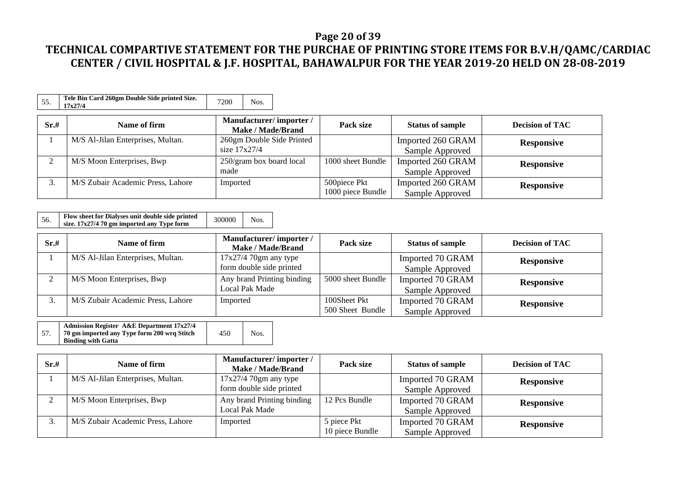### **Page 20 of 39**

| 55.  | Tele Bin Card 260gm Double Side printed Size.<br>17x27/4 | 7200<br>Nos.                                       |                   |                         |                        |
|------|----------------------------------------------------------|----------------------------------------------------|-------------------|-------------------------|------------------------|
| Sr.# | Name of firm                                             | Manufacturer/importer/<br><b>Make / Made/Brand</b> | Pack size         | <b>Status of sample</b> | <b>Decision of TAC</b> |
|      | M/S Al-Jilan Enterprises, Multan.                        | 260gm Double Side Printed                          |                   | Imported 260 GRAM       | <b>Responsive</b>      |
|      |                                                          | size $17x27/4$                                     |                   | Sample Approved         |                        |
|      | M/S Moon Enterprises, Bwp                                | 250/gram box board local                           | 1000 sheet Bundle | Imported 260 GRAM       | <b>Responsive</b>      |
|      |                                                          | made                                               |                   | Sample Approved         |                        |
| 3.   | M/S Zubair Academic Press, Lahore                        | Imported                                           | 500piece Pkt      | Imported 260 GRAM       | <b>Responsive</b>      |
|      |                                                          |                                                    | 1000 piece Bundle | Sample Approved         |                        |

| Flow sheet for Dialyses unit double side printed<br>56.<br>size. 17x27/4 70 gm imported any Type form | 300000 | Nos. |
|-------------------------------------------------------------------------------------------------------|--------|------|
|-------------------------------------------------------------------------------------------------------|--------|------|

| Sr.#    | Name of firm                      | Manufacturer/importer/<br>Make / Made/Brand | Pack size         | <b>Status of sample</b> | <b>Decision of TAC</b> |
|---------|-----------------------------------|---------------------------------------------|-------------------|-------------------------|------------------------|
|         | M/S Al-Jilan Enterprises, Multan. | $17x27/4$ 70gm any type                     |                   | Imported 70 GRAM        | <b>Responsive</b>      |
|         |                                   | form double side printed                    |                   | Sample Approved         |                        |
|         | M/S Moon Enterprises, Bwp         | Any brand Printing binding                  | 5000 sheet Bundle | Imported 70 GRAM        | <b>Responsive</b>      |
|         |                                   | Local Pak Made                              |                   | Sample Approved         |                        |
| ⌒<br>J. | M/S Zubair Academic Press, Lahore | Imported                                    | 100Sheet Pkt      | Imported 70 GRAM        | <b>Responsive</b>      |
|         |                                   |                                             | 500 Sheet Bundle  | Sample Approved         |                        |

|     | <b>Admission Register A&amp;E Department 17x27/4</b> |     |      |
|-----|------------------------------------------------------|-----|------|
| 57. | 70 gm imported any Type form 200 wrq Stitch          | 450 | Nos. |
|     | <b>Binding with Gatta</b>                            |     |      |

| Sr.# | Name of firm                      | Manufacturer/importer/<br>Make / Made/Brand         | Pack size                      | <b>Status of sample</b>             | <b>Decision of TAC</b> |
|------|-----------------------------------|-----------------------------------------------------|--------------------------------|-------------------------------------|------------------------|
|      | M/S Al-Jilan Enterprises, Multan. | $17x27/4$ 70gm any type<br>form double side printed |                                | Imported 70 GRAM<br>Sample Approved | <b>Responsive</b>      |
|      | M/S Moon Enterprises, Bwp         | Any brand Printing binding<br>Local Pak Made        | 12 Pcs Bundle                  | Imported 70 GRAM<br>Sample Approved | <b>Responsive</b>      |
|      | M/S Zubair Academic Press, Lahore | Imported                                            | 5 piece Pkt<br>10 piece Bundle | Imported 70 GRAM<br>Sample Approved | <b>Responsive</b>      |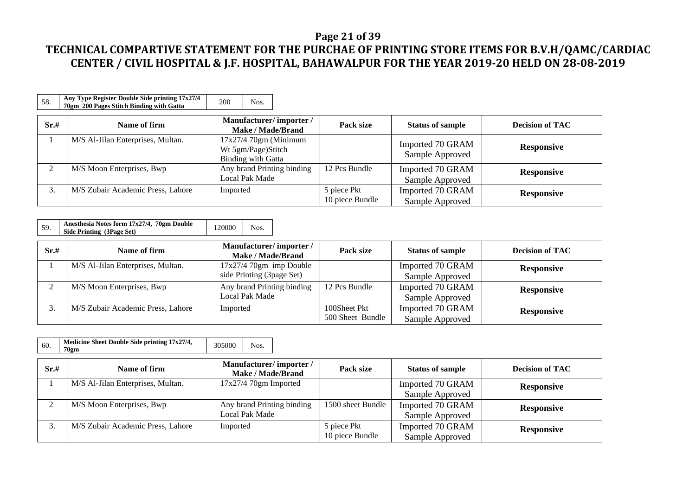### **Page 21 of 39**

## **TECHNICAL COMPARTIVE STATEMENT FOR THE PURCHAE OF PRINTING STORE ITEMS FOR B.V.H/QAMC/CARDIAC CENTER / CIVIL HOSPITAL & J.F. HOSPITAL, BAHAWALPUR FOR THE YEAR 2019-20 HELD ON 28-08-2019**

| 58.  | Any Type Register Double Side printing 17x27/4<br>70gm 200 Pages Stitch Binding with Gatta | 200<br>Nos.                                                               |                                |                                     |                        |
|------|--------------------------------------------------------------------------------------------|---------------------------------------------------------------------------|--------------------------------|-------------------------------------|------------------------|
| Sr.# | Name of firm                                                                               | Manufacturer/importer/<br><b>Make / Made/Brand</b>                        | Pack size                      | <b>Status of sample</b>             | <b>Decision of TAC</b> |
|      | M/S Al-Jilan Enterprises, Multan.                                                          | $17x27/470gm$ (Minimum<br>Wt 5gm/Page)Stitch<br><b>Binding with Gatta</b> |                                | Imported 70 GRAM<br>Sample Approved | <b>Responsive</b>      |
|      | M/S Moon Enterprises, Bwp                                                                  | Any brand Printing binding<br>Local Pak Made                              | 12 Pcs Bundle                  | Imported 70 GRAM<br>Sample Approved | <b>Responsive</b>      |
| 3.   | M/S Zubair Academic Press, Lahore                                                          | Imported                                                                  | 5 piece Pkt<br>10 piece Bundle | Imported 70 GRAM<br>Sample Approved | <b>Responsive</b>      |

| Sr.# | Name of firm                      | Manufacturer/importer/<br><b>Make / Made/Brand</b> | Pack size        | <b>Status of sample</b> | <b>Decision of TAC</b> |
|------|-----------------------------------|----------------------------------------------------|------------------|-------------------------|------------------------|
|      | M/S Al-Jilan Enterprises, Multan. | $17x27/470gm$ imp Double                           |                  | Imported 70 GRAM        | <b>Responsive</b>      |
|      |                                   | side Printing (3page Set)                          |                  | Sample Approved         |                        |
|      | M/S Moon Enterprises, Bwp         | Any brand Printing binding                         | 12 Pcs Bundle    | Imported 70 GRAM        | <b>Responsive</b>      |
|      |                                   | Local Pak Made                                     |                  | Sample Approved         |                        |
|      | M/S Zubair Academic Press, Lahore | Imported                                           | 100Sheet Pkt     | Imported 70 GRAM        | <b>Responsive</b>      |
|      |                                   |                                                    | 500 Sheet Bundle | Sample Approved         |                        |

| 60.       | Medicine Sheet Double Side printing 17x27/4,<br>70gm | 305000<br>Nos.                                     |                                |                                     |                        |
|-----------|------------------------------------------------------|----------------------------------------------------|--------------------------------|-------------------------------------|------------------------|
| Sr.#      | Name of firm                                         | Manufacturer/importer/<br><b>Make / Made/Brand</b> | Pack size                      | <b>Status of sample</b>             | <b>Decision of TAC</b> |
|           | M/S Al-Jilan Enterprises, Multan.                    | $17x27/470gm$ Imported                             |                                | Imported 70 GRAM<br>Sample Approved | <b>Responsive</b>      |
| $\bigcap$ | M/S Moon Enterprises, Bwp                            | Any brand Printing binding<br>Local Pak Made       | 1500 sheet Bundle              | Imported 70 GRAM<br>Sample Approved | <b>Responsive</b>      |
| 3.        | M/S Zubair Academic Press, Lahore                    | Imported                                           | 5 piece Pkt<br>10 piece Bundle | Imported 70 GRAM<br>Sample Approved | <b>Responsive</b>      |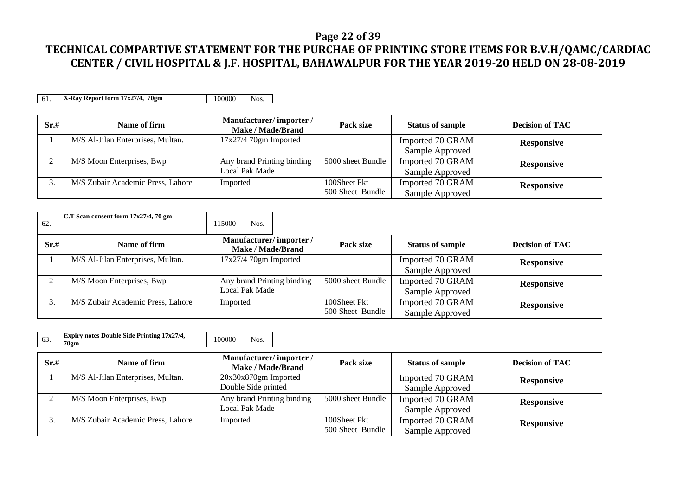#### **Page 22 of 39**

## **TECHNICAL COMPARTIVE STATEMENT FOR THE PURCHAE OF PRINTING STORE ITEMS FOR B.V.H/QAMC/CARDIAC CENTER / CIVIL HOSPITAL & J.F. HOSPITAL, BAHAWALPUR FOR THE YEAR 2019-20 HELD ON 28-08-2019**

61. **X-Ray Report form 17x27/4, 70gm** 100000 Nos.

| Sr.# | Name of firm                      | Manufacturer/importer/<br>Make / Made/Brand | Pack size         | <b>Status of sample</b> | <b>Decision of TAC</b> |
|------|-----------------------------------|---------------------------------------------|-------------------|-------------------------|------------------------|
|      | M/S Al-Jilan Enterprises, Multan. | $17x27/4$ 70gm Imported                     |                   | Imported 70 GRAM        | <b>Responsive</b>      |
|      |                                   |                                             |                   | Sample Approved         |                        |
| ⌒    | M/S Moon Enterprises, Bwp         | Any brand Printing binding                  | 5000 sheet Bundle | Imported 70 GRAM        | <b>Responsive</b>      |
|      |                                   | Local Pak Made                              |                   | Sample Approved         |                        |
|      | M/S Zubair Academic Press, Lahore | Imported                                    | 100Sheet Pkt      | Imported 70 GRAM        | <b>Responsive</b>      |
|      |                                   |                                             | 500 Sheet Bundle  | Sample Approved         |                        |

| 62.  | C.T Scan consent form $17x27/4$ , 70 gm | 115000<br>Nos.                               |                                                    |                                  |                                     |                        |
|------|-----------------------------------------|----------------------------------------------|----------------------------------------------------|----------------------------------|-------------------------------------|------------------------|
| Sr.# | Name of firm                            |                                              | Manufacturer/importer/<br><b>Make / Made/Brand</b> | Pack size                        | <b>Status of sample</b>             | <b>Decision of TAC</b> |
|      | M/S Al-Jilan Enterprises, Multan.       | $17x27/470$ gm Imported                      |                                                    |                                  | Imported 70 GRAM<br>Sample Approved | <b>Responsive</b>      |
|      | M/S Moon Enterprises, Bwp               | Any brand Printing binding<br>Local Pak Made |                                                    | 5000 sheet Bundle                | Imported 70 GRAM<br>Sample Approved | <b>Responsive</b>      |
|      | M/S Zubair Academic Press, Lahore       | Imported                                     |                                                    | 100Sheet Pkt<br>500 Sheet Bundle | Imported 70 GRAM<br>Sample Approved | <b>Responsive</b>      |

| Sr.# | Name of firm                      | Manufacturer/importer/<br>Make / Made/Brand  | Pack size                        | <b>Status of sample</b>             | <b>Decision of TAC</b> |
|------|-----------------------------------|----------------------------------------------|----------------------------------|-------------------------------------|------------------------|
|      | M/S Al-Jilan Enterprises, Multan. | 20x30x870gm Imported<br>Double Side printed  |                                  | Imported 70 GRAM<br>Sample Approved | <b>Responsive</b>      |
| ◠    | M/S Moon Enterprises, Bwp         | Any brand Printing binding<br>Local Pak Made | 5000 sheet Bundle                | Imported 70 GRAM<br>Sample Approved | <b>Responsive</b>      |
|      | M/S Zubair Academic Press, Lahore | Imported                                     | 100Sheet Pkt<br>500 Sheet Bundle | Imported 70 GRAM<br>Sample Approved | <b>Responsive</b>      |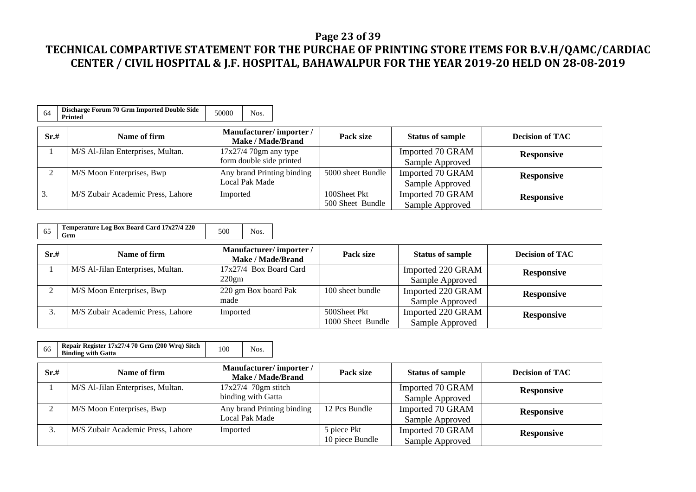### **Page 23 of 39**

| 64   | Discharge Forum 70 Grm Imported Double Side<br><b>Printed</b> | 50000<br>Nos.                               |                   |                         |                        |
|------|---------------------------------------------------------------|---------------------------------------------|-------------------|-------------------------|------------------------|
| Sr.# | Name of firm                                                  | Manufacturer/importer/<br>Make / Made/Brand | Pack size         | <b>Status of sample</b> | <b>Decision of TAC</b> |
|      | M/S Al-Jilan Enterprises, Multan.                             | $17x27/4$ 70gm any type                     |                   | Imported 70 GRAM        | <b>Responsive</b>      |
|      |                                                               | form double side printed                    |                   | Sample Approved         |                        |
|      | M/S Moon Enterprises, Bwp                                     | Any brand Printing binding                  | 5000 sheet Bundle | Imported 70 GRAM        | <b>Responsive</b>      |
|      |                                                               | Local Pak Made                              |                   | Sample Approved         |                        |
| 3.   | M/S Zubair Academic Press, Lahore                             | Imported                                    | 100Sheet Pkt      | Imported 70 GRAM        | <b>Responsive</b>      |
|      |                                                               |                                             | 500 Sheet Bundle  | Sample Approved         |                        |

| 65 | Temperature Log Box Board Card 17x27/4 220<br>Grm | 500 | Nos. |
|----|---------------------------------------------------|-----|------|
|----|---------------------------------------------------|-----|------|

| Sr.# | Name of firm                      | Manufacturer/importer/<br>Make / Made/Brand | Pack size         | <b>Status of sample</b> | <b>Decision of TAC</b> |
|------|-----------------------------------|---------------------------------------------|-------------------|-------------------------|------------------------|
|      | M/S Al-Jilan Enterprises, Multan. | 17x27/4 Box Board Card                      |                   | Imported 220 GRAM       | <b>Responsive</b>      |
|      |                                   | 220gm                                       |                   | Sample Approved         |                        |
|      | M/S Moon Enterprises, Bwp         | 220 gm Box board Pak                        | 100 sheet bundle  | Imported 220 GRAM       | <b>Responsive</b>      |
|      |                                   | made                                        |                   | Sample Approved         |                        |
|      | M/S Zubair Academic Press, Lahore | Imported                                    | 500Sheet Pkt      | Imported 220 GRAM       | <b>Responsive</b>      |
|      |                                   |                                             | 1000 Sheet Bundle | Sample Approved         |                        |

| Repair Register 17x27/4 70 Grm (200 Wrq) Sitch<br>66<br><b>Binding with Gatta</b> | 100 | Nos. |
|-----------------------------------------------------------------------------------|-----|------|
|-----------------------------------------------------------------------------------|-----|------|

| Sr.#          | Name of firm                      | Manufacturer/importer/<br>Make / Made/Brand | Pack size       | <b>Status of sample</b> | <b>Decision of TAC</b> |
|---------------|-----------------------------------|---------------------------------------------|-----------------|-------------------------|------------------------|
|               | M/S Al-Jilan Enterprises, Multan. | $17x27/4$ 70gm stitch                       |                 | Imported 70 GRAM        | <b>Responsive</b>      |
|               |                                   | binding with Gatta                          |                 | Sample Approved         |                        |
| $\mathcal{L}$ | M/S Moon Enterprises, Bwp         | Any brand Printing binding                  | 12 Pcs Bundle   | Imported 70 GRAM        | <b>Responsive</b>      |
|               |                                   | Local Pak Made                              |                 | Sample Approved         |                        |
| $\sim$<br>ć.  | M/S Zubair Academic Press, Lahore | Imported                                    | 5 piece Pkt     | Imported 70 GRAM        | <b>Responsive</b>      |
|               |                                   |                                             | 10 piece Bundle | Sample Approved         |                        |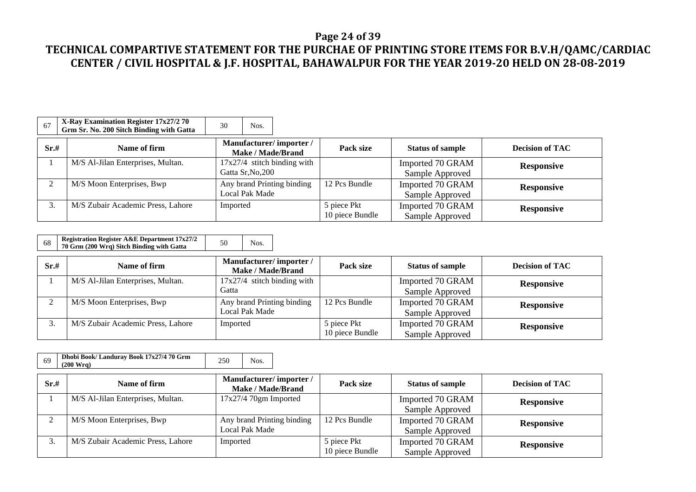### **Page 24 of 39**

| 67   | X-Ray Examination Register 17x27/2 70<br>Grm Sr. No. 200 Sitch Binding with Gatta | 30<br>Nos.                                         |                                |                                     |                        |
|------|-----------------------------------------------------------------------------------|----------------------------------------------------|--------------------------------|-------------------------------------|------------------------|
| Sr.# | Name of firm                                                                      | Manufacturer/importer/<br><b>Make / Made/Brand</b> | Pack size                      | <b>Status of sample</b>             | <b>Decision of TAC</b> |
|      | M/S Al-Jilan Enterprises, Multan.                                                 | $17x27/4$ stitch binding with<br>Gatta Sr, No, 200 |                                | Imported 70 GRAM<br>Sample Approved | <b>Responsive</b>      |
|      | M/S Moon Enterprises, Bwp                                                         | Any brand Printing binding<br>Local Pak Made       | 12 Pcs Bundle                  | Imported 70 GRAM<br>Sample Approved | <b>Responsive</b>      |
| 3.   | M/S Zubair Academic Press, Lahore                                                 | Imported                                           | 5 piece Pkt<br>10 piece Bundle | Imported 70 GRAM<br>Sample Approved | <b>Responsive</b>      |

| 70 Grm (200 Wrg) Sitch Binding with Gatta | 68 | <b>Registration Register A&amp;E Department 17x27/2</b> | 50 | Nos. |
|-------------------------------------------|----|---------------------------------------------------------|----|------|
|-------------------------------------------|----|---------------------------------------------------------|----|------|

| Sr.# | Name of firm                      | Manufacturer/importer/<br>Make / Made/Brand | Pack size       | <b>Status of sample</b> | <b>Decision of TAC</b> |
|------|-----------------------------------|---------------------------------------------|-----------------|-------------------------|------------------------|
|      | M/S Al-Jilan Enterprises, Multan. | $17x27/4$ stitch binding with               |                 | Imported 70 GRAM        | <b>Responsive</b>      |
|      |                                   | Gatta                                       |                 | Sample Approved         |                        |
|      | M/S Moon Enterprises, Bwp         | Any brand Printing binding                  | 12 Pcs Bundle   | Imported 70 GRAM        | <b>Responsive</b>      |
|      |                                   | <b>Local Pak Made</b>                       |                 | Sample Approved         |                        |
|      | M/S Zubair Academic Press, Lahore | Imported                                    | 5 piece Pkt     | Imported 70 GRAM        | <b>Responsive</b>      |
|      |                                   |                                             | 10 piece Bundle | Sample Approved         |                        |

| 69   | Dhobi Book/ Landuray Book 17x27/4 70 Grm<br>(200 Wra) | 250 | Nos.                                        |  |           |
|------|-------------------------------------------------------|-----|---------------------------------------------|--|-----------|
| Sr.# | Name of firm                                          |     | Manufacturer/importer/<br>Make / Made/Brand |  | Pack size |
|      | $M/R$ Al Elen Entermises Multer                       |     | $17.27/4.70$ cm. Lower wheat                |  |           |

| Sr.#               | Name of firm                      | $m$ andiactul CI $\mu$ information<br><b>Make / Made/Brand</b> | Pack size       | <b>Status of sample</b> | <b>Decision of TAC</b> |
|--------------------|-----------------------------------|----------------------------------------------------------------|-----------------|-------------------------|------------------------|
|                    | M/S Al-Jilan Enterprises, Multan. | $17x27/4$ 70gm Imported                                        |                 | Imported 70 GRAM        | <b>Responsive</b>      |
|                    |                                   |                                                                |                 | Sample Approved         |                        |
| $\sim$             | M/S Moon Enterprises, Bwp         | Any brand Printing binding                                     | 12 Pcs Bundle   | Imported 70 GRAM        | <b>Responsive</b>      |
|                    |                                   | Local Pak Made                                                 |                 | Sample Approved         |                        |
| $\mathbf{z}$<br>J. | M/S Zubair Academic Press, Lahore | Imported                                                       | 5 piece Pkt     | Imported 70 GRAM        | <b>Responsive</b>      |
|                    |                                   |                                                                | 10 piece Bundle | Sample Approved         |                        |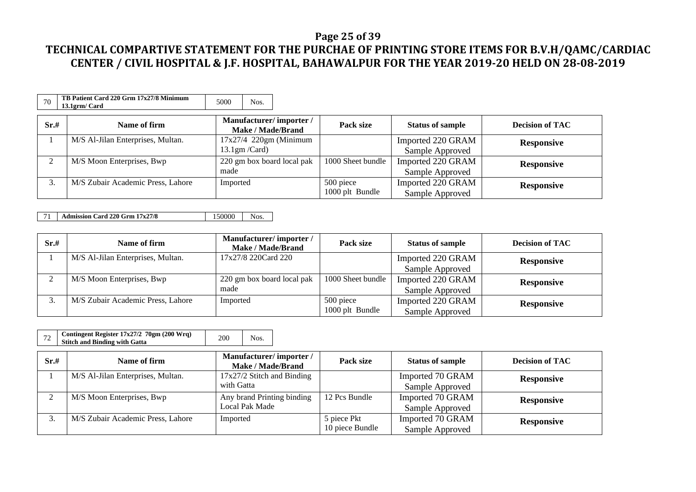### **Page 25 of 39**

## **TECHNICAL COMPARTIVE STATEMENT FOR THE PURCHAE OF PRINTING STORE ITEMS FOR B.V.H/QAMC/CARDIAC CENTER / CIVIL HOSPITAL & J.F. HOSPITAL, BAHAWALPUR FOR THE YEAR 2019-20 HELD ON 28-08-2019**

| 70   | TB Patient Card 220 Grm 17x27/8 Minimum<br>13.1grm/ Card | 5000<br>Nos.                                               |                              |                                      |                        |
|------|----------------------------------------------------------|------------------------------------------------------------|------------------------------|--------------------------------------|------------------------|
| Sr.# | Name of firm                                             | Manufacturer/importer/<br><b>Make / Made/Brand</b>         | Pack size                    | <b>Status of sample</b>              | <b>Decision of TAC</b> |
|      | M/S Al-Jilan Enterprises, Multan.                        | $17x27/4$ 220gm (Minimum<br>$13.1 \text{gm} / \text{Card}$ |                              | Imported 220 GRAM<br>Sample Approved | <b>Responsive</b>      |
| ◠    | M/S Moon Enterprises, Bwp                                | 220 gm box board local pak<br>made                         | 1000 Sheet bundle            | Imported 220 GRAM<br>Sample Approved | <b>Responsive</b>      |
| 3.   | M/S Zubair Academic Press, Lahore                        | Imported                                                   | 500 piece<br>1000 plt Bundle | Imported 220 GRAM<br>Sample Approved | <b>Responsive</b>      |

71 **Admission Card 220 Grm 17x27/8** 150000 Nos.

| Sr.# | Name of firm                      | Manufacturer/importer/<br><b>Make / Made/Brand</b> | Pack size         | <b>Status of sample</b> | <b>Decision of TAC</b> |
|------|-----------------------------------|----------------------------------------------------|-------------------|-------------------------|------------------------|
|      | M/S Al-Jilan Enterprises, Multan. | 17x27/8 220Card 220                                |                   | Imported 220 GRAM       | <b>Responsive</b>      |
|      |                                   |                                                    |                   | Sample Approved         |                        |
|      | M/S Moon Enterprises, Bwp         | 220 gm box board local pak                         | 1000 Sheet bundle | Imported 220 GRAM       | <b>Responsive</b>      |
|      |                                   | made                                               |                   | Sample Approved         |                        |
|      | M/S Zubair Academic Press, Lahore | Imported                                           | 500 piece         | Imported 220 GRAM       | <b>Responsive</b>      |
|      |                                   |                                                    | 1000 plt Bundle   | Sample Approved         |                        |

| <b>Stitch and Binding with Gatta</b> |
|--------------------------------------|
|--------------------------------------|

| Sr.# | Name of firm                      | Manufacturer/importer/<br><b>Make / Made/Brand</b> | Pack size       | <b>Status of sample</b> | <b>Decision of TAC</b> |
|------|-----------------------------------|----------------------------------------------------|-----------------|-------------------------|------------------------|
|      | M/S Al-Jilan Enterprises, Multan. | 17x27/2 Stitch and Binding                         |                 | Imported 70 GRAM        | <b>Responsive</b>      |
|      |                                   | with Gatta                                         |                 | Sample Approved         |                        |
|      | M/S Moon Enterprises, Bwp         | Any brand Printing binding                         | 12 Pcs Bundle   | Imported 70 GRAM        | <b>Responsive</b>      |
|      |                                   | Local Pak Made                                     |                 | Sample Approved         |                        |
|      | M/S Zubair Academic Press, Lahore | Imported                                           | 5 piece Pkt     | Imported 70 GRAM        | <b>Responsive</b>      |
|      |                                   |                                                    | 10 piece Bundle | Sample Approved         |                        |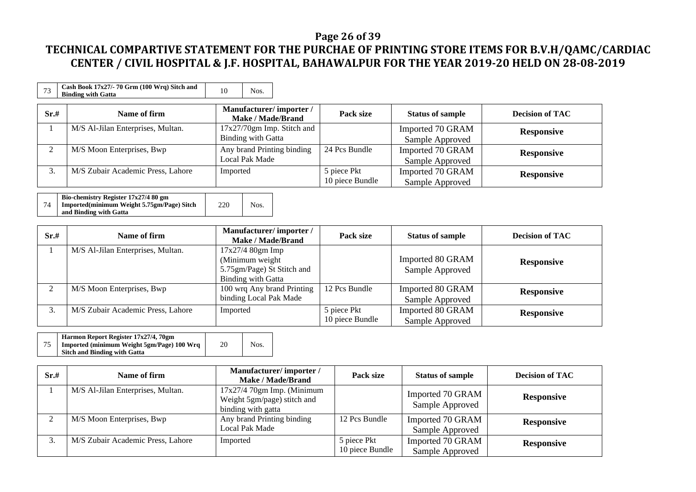### **Page 26 of 39**

| 73   | Cash Book 17x27/-70 Grm (100 Wrq) Sitch and<br><b>Binding with Gatta</b> | 10<br>Nos.                                         |                                |                                     |                        |
|------|--------------------------------------------------------------------------|----------------------------------------------------|--------------------------------|-------------------------------------|------------------------|
| Sr.# | Name of firm                                                             | Manufacturer/importer/<br>Make / Made/Brand        | Pack size                      | <b>Status of sample</b>             | <b>Decision of TAC</b> |
|      | M/S Al-Jilan Enterprises, Multan.                                        | $17x27/70gm$ Imp. Stitch and<br>Binding with Gatta |                                | Imported 70 GRAM<br>Sample Approved | <b>Responsive</b>      |
|      | M/S Moon Enterprises, Bwp                                                | Any brand Printing binding<br>Local Pak Made       | 24 Pcs Bundle                  | Imported 70 GRAM<br>Sample Approved | <b>Responsive</b>      |
| 3.   | M/S Zubair Academic Press, Lahore                                        | Imported                                           | 5 piece Pkt<br>10 piece Bundle | Imported 70 GRAM<br>Sample Approved | <b>Responsive</b>      |

| Bio-chemistry Register 17x27/4 80 gm       |     |      |
|--------------------------------------------|-----|------|
| Imported(minimum Weight 5.75gm/Page) Sitch | 220 | Nos. |
| and Binding with Gatta                     |     |      |

| Sr.# | Name of firm                      | Manufacturer/importer/<br><b>Make / Made/Brand</b>                                                | Pack size                      | <b>Status of sample</b>             | <b>Decision of TAC</b> |
|------|-----------------------------------|---------------------------------------------------------------------------------------------------|--------------------------------|-------------------------------------|------------------------|
|      | M/S Al-Jilan Enterprises, Multan. | $17x27/4$ 80gm Imp<br>(Minimum weight)<br>5.75gm/Page) St Stitch and<br><b>Binding with Gatta</b> |                                | Imported 80 GRAM<br>Sample Approved | <b>Responsive</b>      |
|      | M/S Moon Enterprises, Bwp         | 100 wrq Any brand Printing<br>binding Local Pak Made                                              | 12 Pcs Bundle                  | Imported 80 GRAM<br>Sample Approved | <b>Responsive</b>      |
|      | M/S Zubair Academic Press, Lahore | Imported                                                                                          | 5 piece Pkt<br>10 piece Bundle | Imported 80 GRAM<br>Sample Approved | <b>Responsive</b>      |

| Harmon Report Register 17x27/4, 70gm       |    |      |
|--------------------------------------------|----|------|
| Imported (minimum Weight 5gm/Page) 100 Wrq | 20 | Nos. |
| <b>Sitch and Binding with Gatta</b>        |    |      |

| Sr.# | Name of firm                      | Manufacturer/importer/<br><b>Make / Made/Brand</b>                                | Pack size                      | <b>Status of sample</b>             | <b>Decision of TAC</b> |
|------|-----------------------------------|-----------------------------------------------------------------------------------|--------------------------------|-------------------------------------|------------------------|
|      | M/S Al-Jilan Enterprises, Multan. | $17x27/4$ 70gm Imp. (Minimum<br>Weight 5gm/page) stitch and<br>binding with gatta |                                | Imported 70 GRAM<br>Sample Approved | <b>Responsive</b>      |
|      | M/S Moon Enterprises, Bwp         | Any brand Printing binding<br>Local Pak Made                                      | 12 Pcs Bundle                  | Imported 70 GRAM<br>Sample Approved | <b>Responsive</b>      |
|      | M/S Zubair Academic Press, Lahore | Imported                                                                          | 5 piece Pkt<br>10 piece Bundle | Imported 70 GRAM<br>Sample Approved | <b>Responsive</b>      |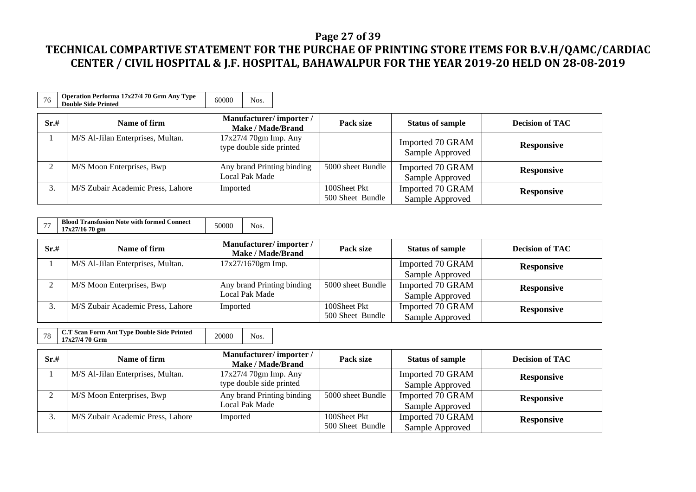### **Page 27 of 39**

| 76   | Operation Performa 17x27/4 70 Grm Any Type<br><b>Double Side Printed</b> | 60000<br>Nos.                                      |                                  |                                     |                        |
|------|--------------------------------------------------------------------------|----------------------------------------------------|----------------------------------|-------------------------------------|------------------------|
| Sr.# | Name of firm                                                             | Manufacturer/importer/<br><b>Make / Made/Brand</b> | Pack size                        | <b>Status of sample</b>             | <b>Decision of TAC</b> |
|      | M/S Al-Jilan Enterprises, Multan.                                        | $17x27/470gm$ Imp. Any<br>type double side printed |                                  | Imported 70 GRAM<br>Sample Approved | <b>Responsive</b>      |
|      | M/S Moon Enterprises, Bwp                                                | Any brand Printing binding<br>Local Pak Made       | 5000 sheet Bundle                | Imported 70 GRAM<br>Sample Approved | <b>Responsive</b>      |
| 3.   | M/S Zubair Academic Press, Lahore                                        | Imported                                           | 100Sheet Pkt<br>500 Sheet Bundle | Imported 70 GRAM<br>Sample Approved | <b>Responsive</b>      |

| <b>Blood Transfusion Note with formed Connect</b><br>17x27/16 70 gm | 50000 |  |
|---------------------------------------------------------------------|-------|--|
|---------------------------------------------------------------------|-------|--|

| Sr.# | Name of firm                      | Manufacturer/importer/<br>Make / Made/Brand | Pack size         | <b>Status of sample</b> | <b>Decision of TAC</b> |
|------|-----------------------------------|---------------------------------------------|-------------------|-------------------------|------------------------|
|      | M/S Al-Jilan Enterprises, Multan. | $17x27/1670gm$ Imp.                         |                   | Imported 70 GRAM        | <b>Responsive</b>      |
|      |                                   |                                             |                   | Sample Approved         |                        |
|      | M/S Moon Enterprises, Bwp         | Any brand Printing binding                  | 5000 sheet Bundle | Imported 70 GRAM        | <b>Responsive</b>      |
|      |                                   | Local Pak Made                              |                   | Sample Approved         |                        |
|      | M/S Zubair Academic Press, Lahore | Imported                                    | 100Sheet Pkt      | Imported 70 GRAM        | <b>Responsive</b>      |
|      |                                   |                                             | 500 Sheet Bundle  | Sample Approved         |                        |

| 17x27/4 70 Grm |
|----------------|
|----------------|

| Sr.# | Name of firm                      | Manufacturer/importer/<br>Make / Made/Brand        | Pack size                        | <b>Status of sample</b>             | <b>Decision of TAC</b> |
|------|-----------------------------------|----------------------------------------------------|----------------------------------|-------------------------------------|------------------------|
|      | M/S Al-Jilan Enterprises, Multan. | $17x27/470gm$ Imp. Any<br>type double side printed |                                  | Imported 70 GRAM<br>Sample Approved | <b>Responsive</b>      |
| ◠    | M/S Moon Enterprises, Bwp         | Any brand Printing binding<br>Local Pak Made       | 5000 sheet Bundle                | Imported 70 GRAM<br>Sample Approved | <b>Responsive</b>      |
|      | M/S Zubair Academic Press, Lahore | Imported                                           | 100Sheet Pkt<br>500 Sheet Bundle | Imported 70 GRAM<br>Sample Approved | <b>Responsive</b>      |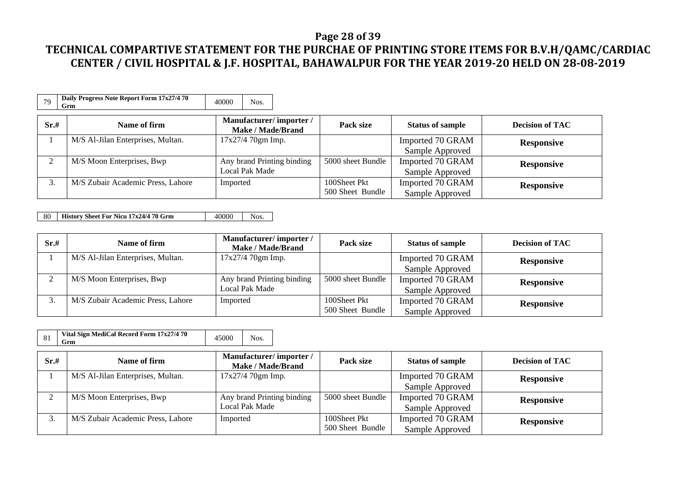#### **Page 28 of 39**

## **TECHNICAL COMPARTIVE STATEMENT FOR THE PURCHAE OF PRINTING STORE ITEMS FOR B.V.H/QAMC/CARDIAC CENTER / CIVIL HOSPITAL & J.F. HOSPITAL, BAHAWALPUR FOR THE YEAR 2019-20 HELD ON 28-08-2019**

| 79     | Daily Progress Note Report Form 17x27/4 70<br>Grm | 40000<br>Nos.                                      |                                  |                                     |                        |
|--------|---------------------------------------------------|----------------------------------------------------|----------------------------------|-------------------------------------|------------------------|
| Sr.#   | Name of firm                                      | Manufacturer/importer/<br><b>Make / Made/Brand</b> | Pack size                        | <b>Status of sample</b>             | <b>Decision of TAC</b> |
|        | M/S Al-Jilan Enterprises, Multan.                 | $17x27/470gm$ Imp.                                 |                                  | Imported 70 GRAM<br>Sample Approved | <b>Responsive</b>      |
| $\sim$ | M/S Moon Enterprises, Bwp                         | Any brand Printing binding<br>Local Pak Made       | 5000 sheet Bundle                | Imported 70 GRAM<br>Sample Approved | <b>Responsive</b>      |
|        | M/S Zubair Academic Press, Lahore                 | Imported                                           | 100Sheet Pkt<br>500 Sheet Bundle | Imported 70 GRAM<br>Sample Approved | <b>Responsive</b>      |

80 **History Sheet For Nicu 17x24/4 70 Grm** 40000 Nos.

| Sr.# | Name of firm                      | Manufacturer/importer/<br><b>Make / Made/Brand</b> | Pack size         | <b>Status of sample</b> | <b>Decision of TAC</b> |
|------|-----------------------------------|----------------------------------------------------|-------------------|-------------------------|------------------------|
|      | M/S Al-Jilan Enterprises, Multan. | 17x27/4 70gm Imp.                                  |                   | Imported 70 GRAM        | <b>Responsive</b>      |
|      |                                   |                                                    |                   | Sample Approved         |                        |
|      | M/S Moon Enterprises, Bwp         | Any brand Printing binding                         | 5000 sheet Bundle | Imported 70 GRAM        | <b>Responsive</b>      |
|      |                                   | Local Pak Made                                     |                   | Sample Approved         |                        |
|      | M/S Zubair Academic Press, Lahore | Imported                                           | 100Sheet Pkt      | Imported 70 GRAM        | <b>Responsive</b>      |
|      |                                   |                                                    | 500 Sheet Bundle  | Sample Approved         |                        |

| 81       | Vital Sign MediCal Record Form 17x27/4 70<br>Grm | 45000<br>Nos.                                      |                                  |                                     |                        |
|----------|--------------------------------------------------|----------------------------------------------------|----------------------------------|-------------------------------------|------------------------|
| Sr.#     | Name of firm                                     | Manufacturer/importer/<br><b>Make / Made/Brand</b> | Pack size                        | <b>Status of sample</b>             | <b>Decision of TAC</b> |
|          | M/S Al-Jilan Enterprises, Multan.                | $17x27/470gm$ Imp.                                 |                                  | Imported 70 GRAM<br>Sample Approved | <b>Responsive</b>      |
| $\gamma$ | M/S Moon Enterprises, Bwp                        | Any brand Printing binding<br>Local Pak Made       | 5000 sheet Bundle                | Imported 70 GRAM<br>Sample Approved | <b>Responsive</b>      |
| 3.       | M/S Zubair Academic Press, Lahore                | Imported                                           | 100Sheet Pkt<br>500 Sheet Bundle | Imported 70 GRAM<br>Sample Approved | <b>Responsive</b>      |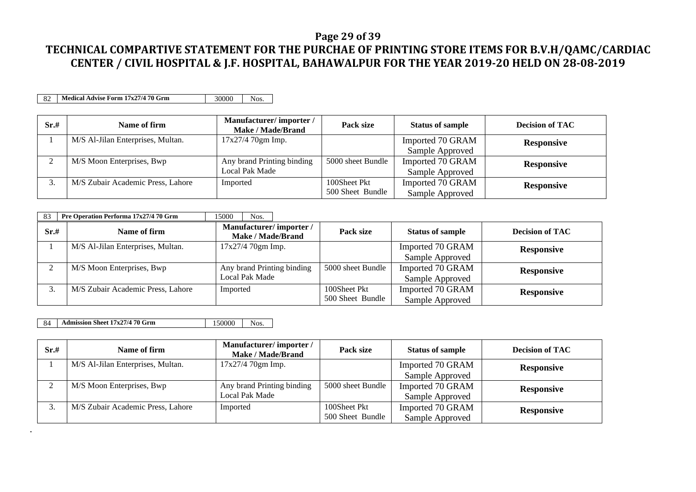### **Page 29 of 39**

### **TECHNICAL COMPARTIVE STATEMENT FOR THE PURCHAE OF PRINTING STORE ITEMS FOR B.V.H/QAMC/CARDIAC CENTER / CIVIL HOSPITAL & J.F. HOSPITAL, BAHAWALPUR FOR THE YEAR 2019-20 HELD ON 28-08-2019**

82 **Medical Advise Form 17x27/4 70 Grm** 30000 Nos.

| Sr.#   | Name of firm                      | Manufacturer/importer/<br>Make / Made/Brand | Pack size         | <b>Status of sample</b> | <b>Decision of TAC</b> |
|--------|-----------------------------------|---------------------------------------------|-------------------|-------------------------|------------------------|
|        | M/S Al-Jilan Enterprises, Multan. | 17x27/4 70gm Imp.                           |                   | Imported 70 GRAM        | <b>Responsive</b>      |
|        |                                   |                                             |                   | Sample Approved         |                        |
| $\sim$ | M/S Moon Enterprises, Bwp         | Any brand Printing binding                  | 5000 sheet Bundle | Imported 70 GRAM        | <b>Responsive</b>      |
|        |                                   | Local Pak Made                              |                   | Sample Approved         |                        |
| J.     | M/S Zubair Academic Press, Lahore | Imported                                    | 100Sheet Pkt      | Imported 70 GRAM        | <b>Responsive</b>      |
|        |                                   |                                             | 500 Sheet Bundle  | Sample Approved         |                        |

| 83   | Pre Operation Performa 17x27/4 70 Grm | 15000<br>Nos.                               |                   |                         |                        |
|------|---------------------------------------|---------------------------------------------|-------------------|-------------------------|------------------------|
| Sr.# | Name of firm                          | Manufacturer/importer/<br>Make / Made/Brand | Pack size         | <b>Status of sample</b> | <b>Decision of TAC</b> |
|      | M/S Al-Jilan Enterprises, Multan.     | 17x27/4 70gm Imp.                           |                   | Imported 70 GRAM        | <b>Responsive</b>      |
|      |                                       |                                             |                   | Sample Approved         |                        |
|      | M/S Moon Enterprises, Bwp             | Any brand Printing binding                  | 5000 sheet Bundle | Imported 70 GRAM        | <b>Responsive</b>      |
|      |                                       | Local Pak Made                              |                   | Sample Approved         |                        |
|      | M/S Zubair Academic Press, Lahore     | Imported                                    | 100Sheet Pkt      | Imported 70 GRAM        | <b>Responsive</b>      |
|      |                                       |                                             | 500 Sheet Bundle  | Sample Approved         |                        |

84 **Admission Sheet 17x27/4 70 Grm** 150000 Nos.

.

| Sr.# | Name of firm                      | Manufacturer/importer/<br><b>Make / Made/Brand</b> | Pack size         | <b>Status of sample</b> | <b>Decision of TAC</b> |
|------|-----------------------------------|----------------------------------------------------|-------------------|-------------------------|------------------------|
|      | M/S Al-Jilan Enterprises, Multan. | 17x27/4 70gm Imp.                                  |                   | Imported 70 GRAM        | <b>Responsive</b>      |
|      |                                   |                                                    |                   | Sample Approved         |                        |
|      | M/S Moon Enterprises, Bwp         | Any brand Printing binding                         | 5000 sheet Bundle | Imported 70 GRAM        | <b>Responsive</b>      |
|      |                                   | Local Pak Made                                     |                   | Sample Approved         |                        |
|      | M/S Zubair Academic Press, Lahore | Imported                                           | 100Sheet Pkt      | Imported 70 GRAM        | <b>Responsive</b>      |
|      |                                   |                                                    | 500 Sheet Bundle  | Sample Approved         |                        |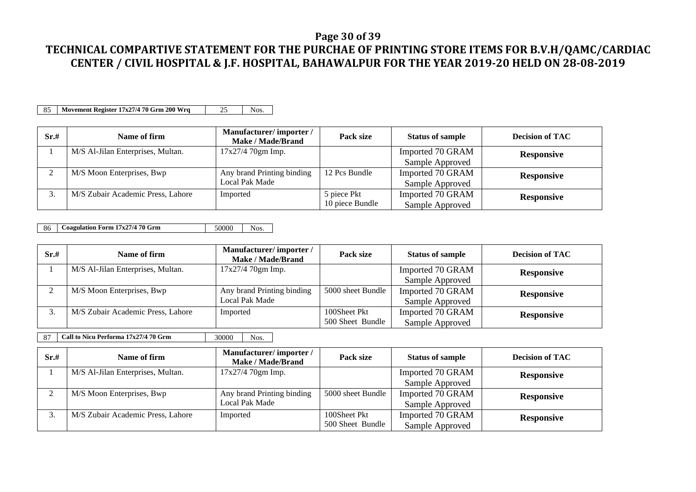### **Page 30 of 39**

### **TECHNICAL COMPARTIVE STATEMENT FOR THE PURCHAE OF PRINTING STORE ITEMS FOR B.V.H/QAMC/CARDIAC CENTER / CIVIL HOSPITAL & J.F. HOSPITAL, BAHAWALPUR FOR THE YEAR 2019-20 HELD ON 28-08-2019**

85 **Movement Register 17x27/4 70 Grm 200 Wrq** 25 Nos.

| Sr.#   | Name of firm                      | Manufacturer/importer/<br>Make / Made/Brand | Pack size       | <b>Status of sample</b> | <b>Decision of TAC</b> |
|--------|-----------------------------------|---------------------------------------------|-----------------|-------------------------|------------------------|
|        | M/S Al-Jilan Enterprises, Multan. | 17x27/4 70gm Imp.                           |                 | Imported 70 GRAM        | <b>Responsive</b>      |
|        |                                   |                                             |                 | Sample Approved         |                        |
| $\sim$ | M/S Moon Enterprises, Bwp         | Any brand Printing binding                  | 12 Pcs Bundle   | Imported 70 GRAM        | <b>Responsive</b>      |
|        |                                   | Local Pak Made                              |                 | Sample Approved         |                        |
|        | M/S Zubair Academic Press, Lahore | Imported                                    | 5 piece Pkt     | Imported 70 GRAM        | <b>Responsive</b>      |
|        |                                   |                                             | 10 piece Bundle | Sample Approved         |                        |

86 **Coagulation Form 17x27/4 70 Grm** 50000 Nos.

| Sr.# | Name of firm                      | Manufacturer/importer/<br>Make / Made/Brand | Pack size         | <b>Status of sample</b> | <b>Decision of TAC</b> |
|------|-----------------------------------|---------------------------------------------|-------------------|-------------------------|------------------------|
|      | M/S Al-Jilan Enterprises, Multan. | 17x27/4 70gm Imp.                           |                   | Imported 70 GRAM        | <b>Responsive</b>      |
|      |                                   |                                             |                   | Sample Approved         |                        |
|      | M/S Moon Enterprises, Bwp         | Any brand Printing binding                  | 5000 sheet Bundle | Imported 70 GRAM        | <b>Responsive</b>      |
|      |                                   | Local Pak Made                              |                   | Sample Approved         |                        |
|      | M/S Zubair Academic Press, Lahore | Imported                                    | 100Sheet Pkt      | Imported 70 GRAM        | <b>Responsive</b>      |
|      |                                   |                                             | 500 Sheet Bundle  | Sample Approved         |                        |

87 **Call to Nicu Performa 17x27/4 70 Grm** 30000 Nos.

| Sr.#         | Name of firm                      | Manufacturer/importer/<br>Make / Made/Brand | Pack size         | <b>Status of sample</b> | <b>Decision of TAC</b> |
|--------------|-----------------------------------|---------------------------------------------|-------------------|-------------------------|------------------------|
|              | M/S Al-Jilan Enterprises, Multan. | 17x27/4 70gm Imp.                           |                   | Imported 70 GRAM        | <b>Responsive</b>      |
|              |                                   |                                             |                   | Sample Approved         |                        |
| ⌒            | M/S Moon Enterprises, Bwp         | Any brand Printing binding                  | 5000 sheet Bundle | Imported 70 GRAM        | <b>Responsive</b>      |
|              |                                   | Local Pak Made                              |                   | Sample Approved         |                        |
| $\sim$<br>J. | M/S Zubair Academic Press, Lahore | Imported                                    | 100Sheet Pkt      | Imported 70 GRAM        | <b>Responsive</b>      |
|              |                                   |                                             | 500 Sheet Bundle  | Sample Approved         |                        |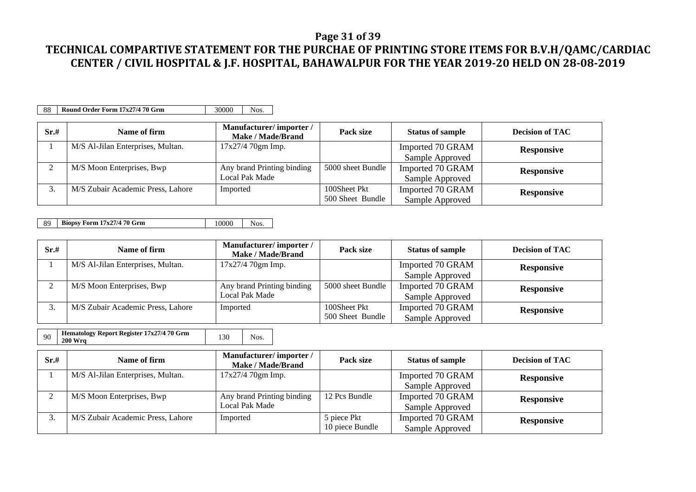### **Page 31 of 39**

## **TECHNICAL COMPARTIVE STATEMENT FOR THE PURCHAE OF PRINTING STORE ITEMS FOR B.V.H/QAMC/CARDIAC CENTER / CIVIL HOSPITAL & J.F. HOSPITAL, BAHAWALPUR FOR THE YEAR 2019-20 HELD ON 28-08-2019**

88 **Round Order Form 17x27/4 70 Grm** 30000 Nos.

| Sr.# | Name of firm                      | Manufacturer/importer/<br><b>Make / Made/Brand</b> | Pack size         | <b>Status of sample</b> | <b>Decision of TAC</b> |
|------|-----------------------------------|----------------------------------------------------|-------------------|-------------------------|------------------------|
|      | M/S Al-Jilan Enterprises, Multan. | $17x27/470gm$ Imp.                                 |                   | Imported 70 GRAM        | <b>Responsive</b>      |
|      |                                   |                                                    |                   | Sample Approved         |                        |
|      | M/S Moon Enterprises, Bwp         | Any brand Printing binding                         | 5000 sheet Bundle | Imported 70 GRAM        | <b>Responsive</b>      |
|      |                                   | Local Pak Made                                     |                   | Sample Approved         |                        |
| . ر  | M/S Zubair Academic Press, Lahore | Imported                                           | 100Sheet Pkt      | Imported 70 GRAM        | <b>Responsive</b>      |
|      |                                   |                                                    | 500 Sheet Bundle  | Sample Approved         |                        |

89 **Biopsy Form 17x27/4 70 Grm** 10000 Nos.

| Sr.# | Name of firm                      | Manufacturer/importer/<br>Make / Made/Brand | Pack size         | <b>Status of sample</b> | <b>Decision of TAC</b> |
|------|-----------------------------------|---------------------------------------------|-------------------|-------------------------|------------------------|
|      | M/S Al-Jilan Enterprises, Multan. | 17x27/4 70gm Imp.                           |                   | Imported 70 GRAM        | <b>Responsive</b>      |
|      |                                   |                                             |                   | Sample Approved         |                        |
|      | M/S Moon Enterprises, Bwp         | Any brand Printing binding                  | 5000 sheet Bundle | Imported 70 GRAM        | <b>Responsive</b>      |
|      |                                   | Local Pak Made                              |                   | Sample Approved         |                        |
|      | M/S Zubair Academic Press, Lahore | Imported                                    | 100Sheet Pkt      | Imported 70 GRAM        | <b>Responsive</b>      |
|      |                                   |                                             | 500 Sheet Bundle  | Sample Approved         |                        |

| 90 | Hematology Report Register 17x27/4 70 Grm<br><b>200 Wra</b> | Nos. |
|----|-------------------------------------------------------------|------|
|    |                                                             |      |

| Sr.# | Name of firm                      | Manufacturer/importer/<br>Make / Made/Brand  | Pack size                      | <b>Status of sample</b>             | <b>Decision of TAC</b> |
|------|-----------------------------------|----------------------------------------------|--------------------------------|-------------------------------------|------------------------|
|      | M/S Al-Jilan Enterprises, Multan. | 17x27/4 70gm Imp.                            |                                | Imported 70 GRAM<br>Sample Approved | <b>Responsive</b>      |
|      | M/S Moon Enterprises, Bwp         | Any brand Printing binding<br>Local Pak Made | 12 Pcs Bundle                  | Imported 70 GRAM<br>Sample Approved | <b>Responsive</b>      |
|      | M/S Zubair Academic Press, Lahore | Imported                                     | 5 piece Pkt<br>10 piece Bundle | Imported 70 GRAM<br>Sample Approved | <b>Responsive</b>      |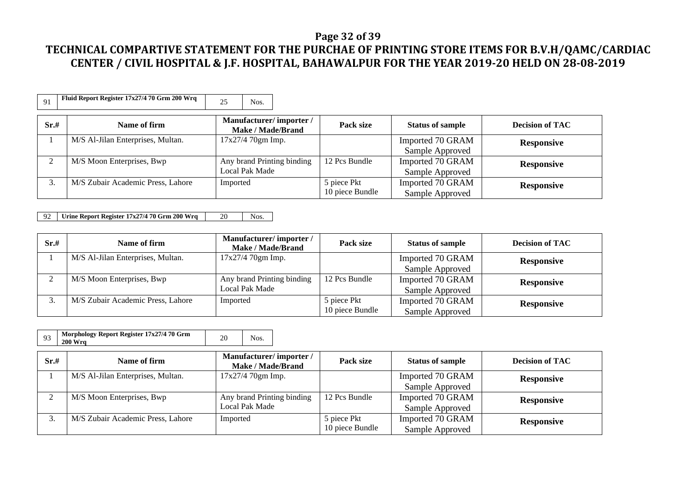#### **Page 32 of 39**

## **TECHNICAL COMPARTIVE STATEMENT FOR THE PURCHAE OF PRINTING STORE ITEMS FOR B.V.H/QAMC/CARDIAC CENTER / CIVIL HOSPITAL & J.F. HOSPITAL, BAHAWALPUR FOR THE YEAR 2019-20 HELD ON 28-08-2019**

|  | Fluid Report Register $17x27/470$ Grm 200 Wrq |  | Nos. |
|--|-----------------------------------------------|--|------|
|--|-----------------------------------------------|--|------|

| Sr.# | Name of firm                      | Manufacturer/importer/<br>Make / Made/Brand | Pack size       | <b>Status of sample</b> | <b>Decision of TAC</b> |
|------|-----------------------------------|---------------------------------------------|-----------------|-------------------------|------------------------|
|      | M/S Al-Jilan Enterprises, Multan. | $17x27/470gm$ Imp.                          |                 | Imported 70 GRAM        | <b>Responsive</b>      |
|      |                                   |                                             |                 | Sample Approved         |                        |
|      | M/S Moon Enterprises, Bwp         | Any brand Printing binding                  | 12 Pcs Bundle   | Imported 70 GRAM        | <b>Responsive</b>      |
|      |                                   | Local Pak Made                              |                 | Sample Approved         |                        |
|      | M/S Zubair Academic Press, Lahore | Imported                                    | 5 piece Pkt     | Imported 70 GRAM        | <b>Responsive</b>      |
|      |                                   |                                             | 10 piece Bundle | Sample Approved         |                        |

92 **Urine Report Register 17x27/4 70 Grm 200 Wrq** 20 Nos.

| Sr.# | Name of firm                      | Manufacturer/importer/<br><b>Make / Made/Brand</b> | Pack size       | <b>Status of sample</b> | <b>Decision of TAC</b> |
|------|-----------------------------------|----------------------------------------------------|-----------------|-------------------------|------------------------|
|      | M/S Al-Jilan Enterprises, Multan. | 17x27/4 70gm Imp.                                  |                 | Imported 70 GRAM        | <b>Responsive</b>      |
|      |                                   |                                                    |                 | Sample Approved         |                        |
|      | M/S Moon Enterprises, Bwp         | Any brand Printing binding                         | 12 Pcs Bundle   | Imported 70 GRAM        | <b>Responsive</b>      |
|      |                                   | Local Pak Made                                     |                 | Sample Approved         |                        |
|      | M/S Zubair Academic Press, Lahore | Imported                                           | 5 piece Pkt     | Imported 70 GRAM        | <b>Responsive</b>      |
|      |                                   |                                                    | 10 piece Bundle | Sample Approved         |                        |

| 93   | Morphology Report Register 17x27/4 70 Grm<br><b>200 Wra</b> | 20<br>Nos.                                         |                                |                                     |                        |
|------|-------------------------------------------------------------|----------------------------------------------------|--------------------------------|-------------------------------------|------------------------|
| Sr.# | Name of firm                                                | Manufacturer/importer/<br><b>Make / Made/Brand</b> | Pack size                      | <b>Status of sample</b>             | <b>Decision of TAC</b> |
|      | M/S Al-Jilan Enterprises, Multan.                           | 17x27/4 70gm Imp.                                  |                                | Imported 70 GRAM<br>Sample Approved | <b>Responsive</b>      |
|      | M/S Moon Enterprises, Bwp                                   | Any brand Printing binding<br>Local Pak Made       | 12 Pcs Bundle                  | Imported 70 GRAM<br>Sample Approved | <b>Responsive</b>      |
| 3.   | M/S Zubair Academic Press, Lahore                           | Imported                                           | 5 piece Pkt<br>10 piece Bundle | Imported 70 GRAM<br>Sample Approved | <b>Responsive</b>      |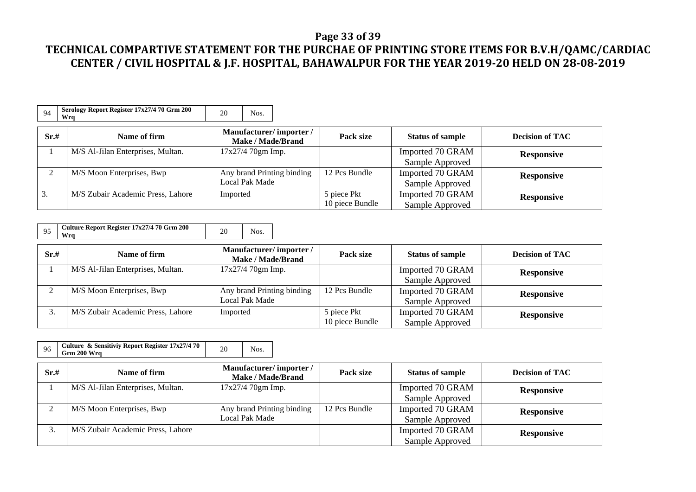### **Page 33 of 39**

| 94   | Serology Report Register 17x27/4 70 Grm 200<br>Wra | 20<br>Nos.                                   |                                |                                     |                        |
|------|----------------------------------------------------|----------------------------------------------|--------------------------------|-------------------------------------|------------------------|
| Sr.# | Name of firm                                       | Manufacturer/importer/<br>Make / Made/Brand  | Pack size                      | <b>Status of sample</b>             | <b>Decision of TAC</b> |
|      | M/S Al-Jilan Enterprises, Multan.                  | $17x27/470gm$ Imp.                           |                                | Imported 70 GRAM<br>Sample Approved | <b>Responsive</b>      |
|      | M/S Moon Enterprises, Bwp                          | Any brand Printing binding<br>Local Pak Made | 12 Pcs Bundle                  | Imported 70 GRAM<br>Sample Approved | <b>Responsive</b>      |
| 3.   | M/S Zubair Academic Press, Lahore                  | Imported                                     | 5 piece Pkt<br>10 piece Bundle | Imported 70 GRAM<br>Sample Approved | <b>Responsive</b>      |

| Culture Report Register 17x27/4 70 Grm 200<br>20<br>Wra |  |
|---------------------------------------------------------|--|
|---------------------------------------------------------|--|

| Sr.# | Name of firm                      | Manufacturer/importer/<br>Make / Made/Brand | Pack size       | <b>Status of sample</b> | <b>Decision of TAC</b> |
|------|-----------------------------------|---------------------------------------------|-----------------|-------------------------|------------------------|
|      | M/S Al-Jilan Enterprises, Multan. | $17x27/470gm$ Imp.                          |                 | Imported 70 GRAM        | <b>Responsive</b>      |
|      |                                   |                                             |                 | Sample Approved         |                        |
|      | M/S Moon Enterprises, Bwp         | Any brand Printing binding                  | 12 Pcs Bundle   | Imported 70 GRAM        | <b>Responsive</b>      |
|      |                                   | Local Pak Made                              |                 | Sample Approved         |                        |
|      | M/S Zubair Academic Press, Lahore | Imported                                    | 5 piece Pkt     | Imported 70 GRAM        | <b>Responsive</b>      |
|      |                                   |                                             | 10 piece Bundle | Sample Approved         |                        |

| 96   | Culture & Sensitiviy Report Register 17x27/4 70<br>Grm 200 Wra | 20<br>Nos.                                         |               |                                     |                        |
|------|----------------------------------------------------------------|----------------------------------------------------|---------------|-------------------------------------|------------------------|
| Sr.# | Name of firm                                                   | Manufacturer/importer/<br><b>Make / Made/Brand</b> | Pack size     | <b>Status of sample</b>             | <b>Decision of TAC</b> |
|      | M/S Al-Jilan Enterprises, Multan.                              | 17x27/4 70gm Imp.                                  |               | Imported 70 GRAM<br>Sample Approved | <b>Responsive</b>      |
| 2    | M/S Moon Enterprises, Bwp                                      | Any brand Printing binding<br>Local Pak Made       | 12 Pcs Bundle | Imported 70 GRAM<br>Sample Approved | <b>Responsive</b>      |
| 3.   | M/S Zubair Academic Press, Lahore                              |                                                    |               | Imported 70 GRAM<br>Sample Approved | <b>Responsive</b>      |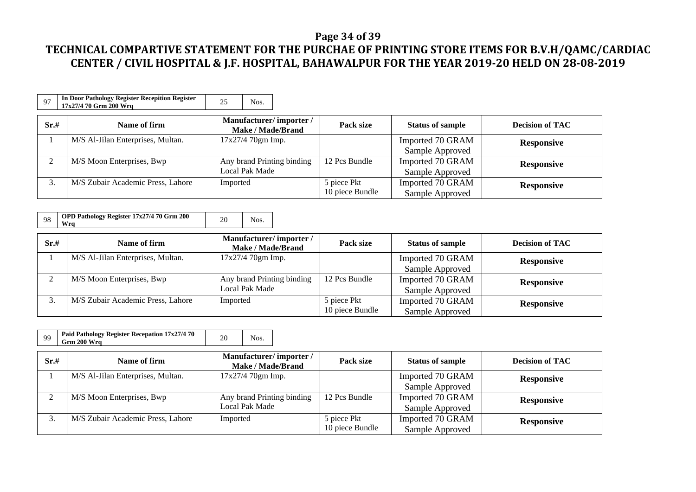### **Page 34 of 39**

| 97   | In Door Pathology Register Recepition Register<br>17x27/4 70 Grm 200 Wrg | 25<br>Nos.                                         |                                |                                     |                        |
|------|--------------------------------------------------------------------------|----------------------------------------------------|--------------------------------|-------------------------------------|------------------------|
| Sr.# | Name of firm                                                             | Manufacturer/importer/<br><b>Make / Made/Brand</b> | Pack size                      | <b>Status of sample</b>             | <b>Decision of TAC</b> |
|      | M/S Al-Jilan Enterprises, Multan.                                        | 17x27/4 70gm Imp.                                  |                                | Imported 70 GRAM<br>Sample Approved | <b>Responsive</b>      |
|      | M/S Moon Enterprises, Bwp                                                | Any brand Printing binding<br>Local Pak Made       | 12 Pcs Bundle                  | Imported 70 GRAM<br>Sample Approved | <b>Responsive</b>      |
|      | M/S Zubair Academic Press, Lahore                                        | Imported                                           | 5 piece Pkt<br>10 piece Bundle | Imported 70 GRAM<br>Sample Approved | <b>Responsive</b>      |

| 98 | OPD Pathology Register 17x27/4 70 Grm 200<br>Wra |  |  |
|----|--------------------------------------------------|--|--|
|----|--------------------------------------------------|--|--|

| Sr.# | Name of firm                      | Manufacturer/importer/<br>Make / Made/Brand | Pack size       | <b>Status of sample</b> | <b>Decision of TAC</b> |
|------|-----------------------------------|---------------------------------------------|-----------------|-------------------------|------------------------|
|      | M/S Al-Jilan Enterprises, Multan. | $17x27/470gm$ Imp.                          |                 | Imported 70 GRAM        | <b>Responsive</b>      |
|      |                                   |                                             |                 | Sample Approved         |                        |
|      | M/S Moon Enterprises, Bwp         | Any brand Printing binding                  | 12 Pcs Bundle   | Imported 70 GRAM        | <b>Responsive</b>      |
|      |                                   | Local Pak Made                              |                 | Sample Approved         |                        |
|      | M/S Zubair Academic Press, Lahore | Imported                                    | 5 piece Pkt     | Imported 70 GRAM        | <b>Responsive</b>      |
|      |                                   |                                             | 10 piece Bundle | Sample Approved         |                        |

|  |  | Paid Pathology Register Recepation 17x27/4 70<br>Grm 200 Wra |  |  |  |
|--|--|--------------------------------------------------------------|--|--|--|
|--|--|--------------------------------------------------------------|--|--|--|

| Sr.# | Name of firm                      | Manufacturer/importer/<br>Make / Made/Brand | Pack size       | <b>Status of sample</b> | <b>Decision of TAC</b> |
|------|-----------------------------------|---------------------------------------------|-----------------|-------------------------|------------------------|
|      | M/S Al-Jilan Enterprises, Multan. | $17x27/470gm$ Imp.                          |                 | Imported 70 GRAM        | <b>Responsive</b>      |
|      |                                   |                                             |                 | Sample Approved         |                        |
|      | M/S Moon Enterprises, Bwp         | Any brand Printing binding                  | 12 Pcs Bundle   | Imported 70 GRAM        | <b>Responsive</b>      |
|      |                                   | Local Pak Made                              |                 | Sample Approved         |                        |
|      | M/S Zubair Academic Press, Lahore | Imported                                    | 5 piece Pkt     | Imported 70 GRAM        | <b>Responsive</b>      |
|      |                                   |                                             | 10 piece Bundle | Sample Approved         |                        |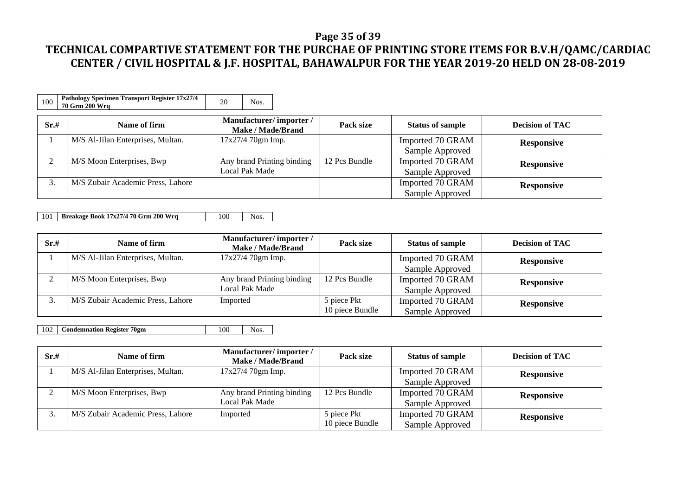### **Page 35 of 39**

## **TECHNICAL COMPARTIVE STATEMENT FOR THE PURCHAE OF PRINTING STORE ITEMS FOR B.V.H/QAMC/CARDIAC CENTER / CIVIL HOSPITAL & J.F. HOSPITAL, BAHAWALPUR FOR THE YEAR 2019-20 HELD ON 28-08-2019**

| 100  | Pathology Specimen Transport Register 17x27/4<br>70 Grm 200 Wrg | 20<br>Nos.                                         |               |                                     |                        |
|------|-----------------------------------------------------------------|----------------------------------------------------|---------------|-------------------------------------|------------------------|
| Sr.# | Name of firm                                                    | Manufacturer/importer/<br><b>Make / Made/Brand</b> | Pack size     | <b>Status of sample</b>             | <b>Decision of TAC</b> |
|      | M/S Al-Jilan Enterprises, Multan.                               | $17x27/470gm$ Imp.                                 |               | Imported 70 GRAM<br>Sample Approved | <b>Responsive</b>      |
| ◠    | M/S Moon Enterprises, Bwp                                       | Any brand Printing binding<br>Local Pak Made       | 12 Pcs Bundle | Imported 70 GRAM<br>Sample Approved | <b>Responsive</b>      |
| 3.   | M/S Zubair Academic Press, Lahore                               |                                                    |               | Imported 70 GRAM<br>Sample Approved | <b>Responsive</b>      |

101 **Breakage Book 17x27/4 70 Grm 200 Wrq** 100 Nos.

| Sr.# | Name of firm                      | Manufacturer/importer/<br>Make / Made/Brand | Pack size       | <b>Status of sample</b> | <b>Decision of TAC</b> |
|------|-----------------------------------|---------------------------------------------|-----------------|-------------------------|------------------------|
|      | M/S Al-Jilan Enterprises, Multan. | 17x27/4 70gm Imp.                           |                 | Imported 70 GRAM        | <b>Responsive</b>      |
|      |                                   |                                             |                 | Sample Approved         |                        |
| ◠    | M/S Moon Enterprises, Bwp         | Any brand Printing binding                  | 12 Pcs Bundle   | Imported 70 GRAM        | <b>Responsive</b>      |
|      |                                   | Local Pak Made                              |                 | Sample Approved         |                        |
|      | M/S Zubair Academic Press, Lahore | Imported                                    | 5 piece Pkt     | Imported 70 GRAM        | <b>Responsive</b>      |
|      |                                   |                                             | 10 piece Bundle | Sample Approved         |                        |

102 **Condemnation Register 70gm** 100 Nos.

| Sr.# | Name of firm                      | Manufacturer/importer/<br>Make / Made/Brand | Pack size       | <b>Status of sample</b> | <b>Decision of TAC</b> |
|------|-----------------------------------|---------------------------------------------|-----------------|-------------------------|------------------------|
|      | M/S Al-Jilan Enterprises, Multan. | $17x27/470gm$ Imp.                          |                 | Imported 70 GRAM        | <b>Responsive</b>      |
|      |                                   |                                             |                 | Sample Approved         |                        |
|      | M/S Moon Enterprises, Bwp         | Any brand Printing binding                  | 12 Pcs Bundle   | Imported 70 GRAM        | <b>Responsive</b>      |
|      |                                   | Local Pak Made                              |                 | Sample Approved         |                        |
|      | M/S Zubair Academic Press, Lahore | Imported                                    | 5 piece Pkt     | Imported 70 GRAM        | <b>Responsive</b>      |
|      |                                   |                                             | 10 piece Bundle | Sample Approved         |                        |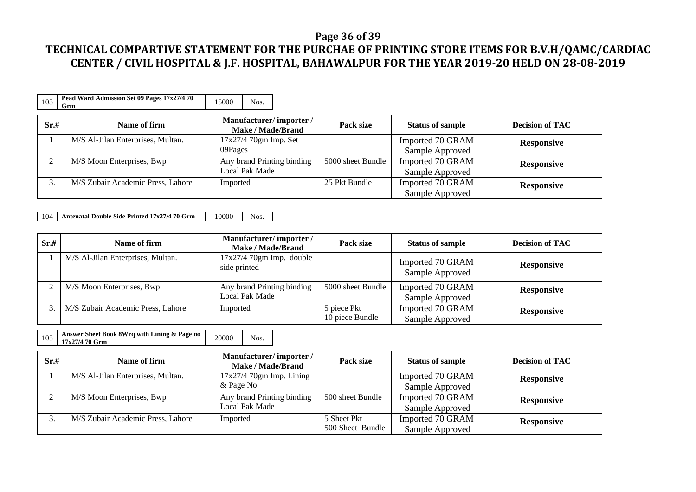### **Page 36 of 39**

## **TECHNICAL COMPARTIVE STATEMENT FOR THE PURCHAE OF PRINTING STORE ITEMS FOR B.V.H/QAMC/CARDIAC CENTER / CIVIL HOSPITAL & J.F. HOSPITAL, BAHAWALPUR FOR THE YEAR 2019-20 HELD ON 28-08-2019**

| 103  | Pead Ward Admission Set 09 Pages 17x27/4 70<br>Grm | 15000<br>Nos.                                      |                   |                                     |                        |
|------|----------------------------------------------------|----------------------------------------------------|-------------------|-------------------------------------|------------------------|
| Sr.# | Name of firm                                       | Manufacturer/importer/<br><b>Make / Made/Brand</b> | Pack size         | <b>Status of sample</b>             | <b>Decision of TAC</b> |
|      | M/S Al-Jilan Enterprises, Multan.                  | $17x27/4$ 70gm Imp. Set<br>09Pages                 |                   | Imported 70 GRAM<br>Sample Approved | <b>Responsive</b>      |
| ◠    | M/S Moon Enterprises, Bwp                          | Any brand Printing binding<br>Local Pak Made       | 5000 sheet Bundle | Imported 70 GRAM<br>Sample Approved | <b>Responsive</b>      |
| 3.   | M/S Zubair Academic Press, Lahore                  | Imported                                           | 25 Pkt Bundle     | Imported 70 GRAM<br>Sample Approved | <b>Responsive</b>      |

104 **Antenatal Double Side Printed 17x27/4 70 Grm** 10000 Nos.

| Sr.# | Name of firm                      | Manufacturer/importer/<br>Make / Made/Brand  | Pack size                      | <b>Status of sample</b>             | <b>Decision of TAC</b> |
|------|-----------------------------------|----------------------------------------------|--------------------------------|-------------------------------------|------------------------|
|      | M/S Al-Jilan Enterprises, Multan. | $17x27/4$ 70gm Imp. double<br>side printed   |                                | Imported 70 GRAM<br>Sample Approved | <b>Responsive</b>      |
|      | M/S Moon Enterprises, Bwp         | Any brand Printing binding<br>Local Pak Made | 5000 sheet Bundle              | Imported 70 GRAM<br>Sample Approved | <b>Responsive</b>      |
|      | M/S Zubair Academic Press, Lahore | Imported                                     | 5 piece Pkt<br>10 piece Bundle | Imported 70 GRAM<br>Sample Approved | <b>Responsive</b>      |

105 **Answer Sheet Book 8Wrq with Lining & Page no** 20000 Nos.

| Sr.# | Name of firm                      | Manufacturer/importer/<br>Make / Made/Brand | Pack size        | <b>Status of sample</b> | <b>Decision of TAC</b> |
|------|-----------------------------------|---------------------------------------------|------------------|-------------------------|------------------------|
|      | M/S Al-Jilan Enterprises, Multan. | $17x27/4$ 70gm Imp. Lining                  |                  | Imported 70 GRAM        | <b>Responsive</b>      |
|      |                                   | & Page No                                   |                  | Sample Approved         |                        |
|      | M/S Moon Enterprises, Bwp         | Any brand Printing binding                  | 500 sheet Bundle | Imported 70 GRAM        | <b>Responsive</b>      |
|      |                                   | Local Pak Made                              |                  | Sample Approved         |                        |
|      | M/S Zubair Academic Press, Lahore | Imported                                    | 5 Sheet Pkt      | Imported 70 GRAM        | <b>Responsive</b>      |
|      |                                   |                                             | 500 Sheet Bundle | Sample Approved         |                        |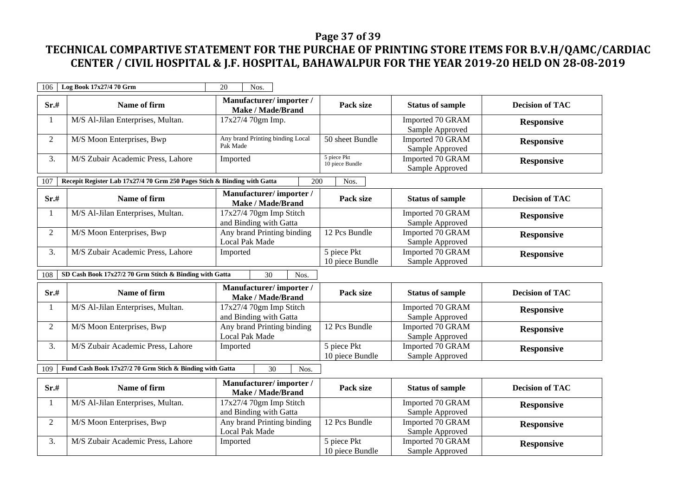### **Page 37 of 39**

| 106            | Log Book 17x27/4 70 Grm                                                  | 20<br>Nos.                                          |                                |                                     |                        |
|----------------|--------------------------------------------------------------------------|-----------------------------------------------------|--------------------------------|-------------------------------------|------------------------|
| Sr.#           | Name of firm                                                             | Manufacturer/importer/<br><b>Make / Made/Brand</b>  | Pack size                      | <b>Status of sample</b>             | <b>Decision of TAC</b> |
| 1              | M/S Al-Jilan Enterprises, Multan.                                        | 17x27/4 70gm Imp.                                   |                                | Imported 70 GRAM<br>Sample Approved | <b>Responsive</b>      |
| $\overline{2}$ | M/S Moon Enterprises, Bwp                                                | Any brand Printing binding Local<br>Pak Made        | 50 sheet Bundle                | Imported 70 GRAM<br>Sample Approved | <b>Responsive</b>      |
| 3.             | M/S Zubair Academic Press, Lahore                                        | Imported                                            | 5 piece Pkt<br>10 piece Bundle | Imported 70 GRAM<br>Sample Approved | <b>Responsive</b>      |
| 107            | Recepit Register Lab 17x27/4 70 Grm 250 Pages Stich & Binding with Gatta | 200                                                 | Nos.                           |                                     |                        |
| Sr.#           | Name of firm                                                             | Manufacturer/importer/<br><b>Make / Made/Brand</b>  | Pack size                      | <b>Status of sample</b>             | <b>Decision of TAC</b> |
| 1              | M/S Al-Jilan Enterprises, Multan.                                        | 17x27/4 70gm Imp Stitch<br>and Binding with Gatta   |                                | Imported 70 GRAM<br>Sample Approved | <b>Responsive</b>      |
| $\overline{2}$ | M/S Moon Enterprises, Bwp                                                | Any brand Printing binding<br><b>Local Pak Made</b> | 12 Pcs Bundle                  | Imported 70 GRAM<br>Sample Approved | <b>Responsive</b>      |
| 3.             | M/S Zubair Academic Press, Lahore                                        | Imported                                            | 5 piece Pkt<br>10 piece Bundle | Imported 70 GRAM<br>Sample Approved | <b>Responsive</b>      |
| 108            | SD Cash Book 17x27/2 70 Grm Stitch & Binding with Gatta                  | $\overline{30}$<br>Nos.                             |                                |                                     |                        |
| Sr.#           | Name of firm                                                             | Manufacturer/importer/<br><b>Make / Made/Brand</b>  | Pack size                      | <b>Status of sample</b>             | <b>Decision of TAC</b> |
| 1              | M/S Al-Jilan Enterprises, Multan.                                        | 17x27/4 70gm Imp Stitch<br>and Binding with Gatta   |                                | Imported 70 GRAM<br>Sample Approved | <b>Responsive</b>      |
| $\overline{2}$ | M/S Moon Enterprises, Bwp                                                | Any brand Printing binding<br><b>Local Pak Made</b> | 12 Pcs Bundle                  | Imported 70 GRAM<br>Sample Approved | <b>Responsive</b>      |
| 3.             | M/S Zubair Academic Press, Lahore                                        | Imported                                            | 5 piece Pkt<br>10 piece Bundle | Imported 70 GRAM<br>Sample Approved | <b>Responsive</b>      |
| 109            | Fund Cash Book 17x27/2 70 Grm Stich & Binding with Gatta                 | 30<br>Nos.                                          |                                |                                     |                        |
| Sr.#           | Name of firm                                                             | Manufacturer/importer/<br><b>Make / Made/Brand</b>  | Pack size                      | <b>Status of sample</b>             | <b>Decision of TAC</b> |
| 1              | M/S Al-Jilan Enterprises, Multan.                                        | 17x27/4 70gm Imp Stitch<br>and Binding with Gatta   |                                | Imported 70 GRAM<br>Sample Approved | <b>Responsive</b>      |
| $\overline{2}$ | M/S Moon Enterprises, Bwp                                                | Any brand Printing binding<br>Local Pak Made        | 12 Pcs Bundle                  | Imported 70 GRAM<br>Sample Approved | <b>Responsive</b>      |
| 3.             | M/S Zubair Academic Press, Lahore                                        | Imported                                            | 5 piece Pkt<br>10 piece Bundle | Imported 70 GRAM<br>Sample Approved | <b>Responsive</b>      |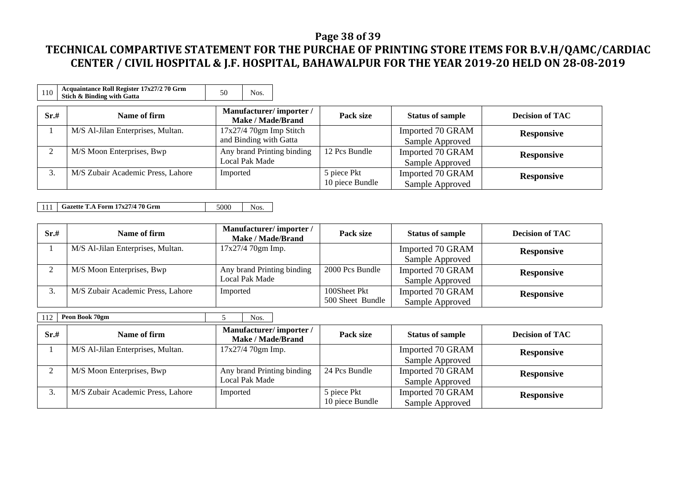### **Page 38 of 39**

## **TECHNICAL COMPARTIVE STATEMENT FOR THE PURCHAE OF PRINTING STORE ITEMS FOR B.V.H/QAMC/CARDIAC CENTER / CIVIL HOSPITAL & J.F. HOSPITAL, BAHAWALPUR FOR THE YEAR 2019-20 HELD ON 28-08-2019**

| 110    | Acquaintance Roll Register 17x27/2 70 Grm<br>Stich & Binding with Gatta | 50<br>Nos.                                          |                                |                                     |                        |
|--------|-------------------------------------------------------------------------|-----------------------------------------------------|--------------------------------|-------------------------------------|------------------------|
| Sr.#   | Name of firm                                                            | Manufacturer/importer/<br><b>Make / Made/Brand</b>  | Pack size                      | <b>Status of sample</b>             | <b>Decision of TAC</b> |
|        | M/S Al-Jilan Enterprises, Multan.                                       | $17x27/4$ 70gm Imp Stitch<br>and Binding with Gatta |                                | Imported 70 GRAM<br>Sample Approved | <b>Responsive</b>      |
| $\sim$ | M/S Moon Enterprises, Bwp                                               | Any brand Printing binding<br>Local Pak Made        | 12 Pcs Bundle                  | Imported 70 GRAM<br>Sample Approved | <b>Responsive</b>      |
| 3.     | M/S Zubair Academic Press, Lahore                                       | Imported                                            | 5 piece Pkt<br>10 piece Bundle | Imported 70 GRAM<br>Sample Approved | <b>Responsive</b>      |

111 **Gazette T.A Form 17x27/4 70 Grm** 5000 Nos.

| Sr.# | Name of firm                      | Manufacturer/importer/<br><b>Make / Made/Brand</b> | Pack size        | <b>Status of sample</b> | <b>Decision of TAC</b> |
|------|-----------------------------------|----------------------------------------------------|------------------|-------------------------|------------------------|
|      | M/S Al-Jilan Enterprises, Multan. | $17x27/470gm$ Imp.                                 |                  | Imported 70 GRAM        | <b>Responsive</b>      |
|      |                                   |                                                    |                  | Sample Approved         |                        |
|      | M/S Moon Enterprises, Bwp         | Any brand Printing binding                         | 2000 Pcs Bundle  | Imported 70 GRAM        | <b>Responsive</b>      |
|      |                                   | Local Pak Made                                     |                  | Sample Approved         |                        |
|      | M/S Zubair Academic Press, Lahore | Imported                                           | 100Sheet Pkt     | Imported 70 GRAM        | <b>Responsive</b>      |
|      |                                   |                                                    | 500 Sheet Bundle | Sample Approved         |                        |

112 **Peon Book 70gm** 5 Nos.

| Sr.# | Name of firm                      | Manufacturer/importer/<br>Make / Made/Brand | Pack size       | <b>Status of sample</b> | <b>Decision of TAC</b> |
|------|-----------------------------------|---------------------------------------------|-----------------|-------------------------|------------------------|
|      | M/S Al-Jilan Enterprises, Multan. | $17x27/470gm$ Imp.                          |                 | Imported 70 GRAM        | <b>Responsive</b>      |
|      |                                   |                                             |                 | Sample Approved         |                        |
|      | M/S Moon Enterprises, Bwp         | Any brand Printing binding                  | 24 Pcs Bundle   | Imported 70 GRAM        | <b>Responsive</b>      |
|      |                                   | Local Pak Made                              |                 | Sample Approved         |                        |
| J.   | M/S Zubair Academic Press, Lahore | Imported                                    | 5 piece Pkt     | Imported 70 GRAM        | <b>Responsive</b>      |
|      |                                   |                                             | 10 piece Bundle | Sample Approved         |                        |